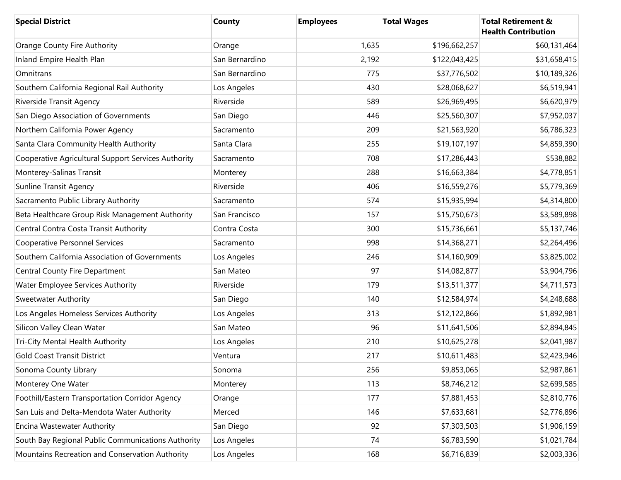| <b>Special District</b>                             | County         | <b>Employees</b> | <b>Total Wages</b> | <b>Total Retirement &amp;</b><br><b>Health Contribution</b> |
|-----------------------------------------------------|----------------|------------------|--------------------|-------------------------------------------------------------|
| Orange County Fire Authority                        | Orange         | 1,635            | \$196,662,257      | \$60,131,464                                                |
| Inland Empire Health Plan                           | San Bernardino | 2,192            | \$122,043,425      | \$31,658,415                                                |
| Omnitrans                                           | San Bernardino | 775              | \$37,776,502       | \$10,189,326                                                |
| Southern California Regional Rail Authority         | Los Angeles    | 430              | \$28,068,627       | \$6,519,941                                                 |
| Riverside Transit Agency                            | Riverside      | 589              | \$26,969,495       | \$6,620,979                                                 |
| San Diego Association of Governments                | San Diego      | 446              | \$25,560,307       | \$7,952,037                                                 |
| Northern California Power Agency                    | Sacramento     | 209              | \$21,563,920       | \$6,786,323                                                 |
| Santa Clara Community Health Authority              | Santa Clara    | 255              | \$19,107,197       | \$4,859,390                                                 |
| Cooperative Agricultural Support Services Authority | Sacramento     | 708              | \$17,286,443       | \$538,882                                                   |
| Monterey-Salinas Transit                            | Monterey       | 288              | \$16,663,384       | \$4,778,851                                                 |
| <b>Sunline Transit Agency</b>                       | Riverside      | 406              | \$16,559,276       | \$5,779,369                                                 |
| Sacramento Public Library Authority                 | Sacramento     | 574              | \$15,935,994       | \$4,314,800                                                 |
| Beta Healthcare Group Risk Management Authority     | San Francisco  | 157              | \$15,750,673       | \$3,589,898                                                 |
| Central Contra Costa Transit Authority              | Contra Costa   | 300              | \$15,736,661       | \$5,137,746                                                 |
| <b>Cooperative Personnel Services</b>               | Sacramento     | 998              | \$14,368,271       | \$2,264,496                                                 |
| Southern California Association of Governments      | Los Angeles    | 246              | \$14,160,909       | \$3,825,002                                                 |
| Central County Fire Department                      | San Mateo      | 97               | \$14,082,877       | \$3,904,796                                                 |
| Water Employee Services Authority                   | Riverside      | 179              | \$13,511,377       | \$4,711,573                                                 |
| Sweetwater Authority                                | San Diego      | 140              | \$12,584,974       | \$4,248,688                                                 |
| Los Angeles Homeless Services Authority             | Los Angeles    | 313              | \$12,122,866       | \$1,892,981                                                 |
| Silicon Valley Clean Water                          | San Mateo      | 96               | \$11,641,506       | \$2,894,845                                                 |
| Tri-City Mental Health Authority                    | Los Angeles    | 210              | \$10,625,278       | \$2,041,987                                                 |
| <b>Gold Coast Transit District</b>                  | Ventura        | 217              | \$10,611,483       | \$2,423,946                                                 |
| Sonoma County Library                               | Sonoma         | 256              | \$9,853,065        | \$2,987,861                                                 |
| Monterey One Water                                  | Monterey       | 113              | \$8,746,212        | \$2,699,585                                                 |
| Foothill/Eastern Transportation Corridor Agency     | Orange         | 177              | \$7,881,453        | \$2,810,776                                                 |
| San Luis and Delta-Mendota Water Authority          | Merced         | 146              | \$7,633,681        | \$2,776,896                                                 |
| Encina Wastewater Authority                         | San Diego      | 92               | \$7,303,503        | \$1,906,159                                                 |
| South Bay Regional Public Communications Authority  | Los Angeles    | 74               | \$6,783,590        | \$1,021,784                                                 |
| Mountains Recreation and Conservation Authority     | Los Angeles    | 168              | \$6,716,839        | \$2,003,336                                                 |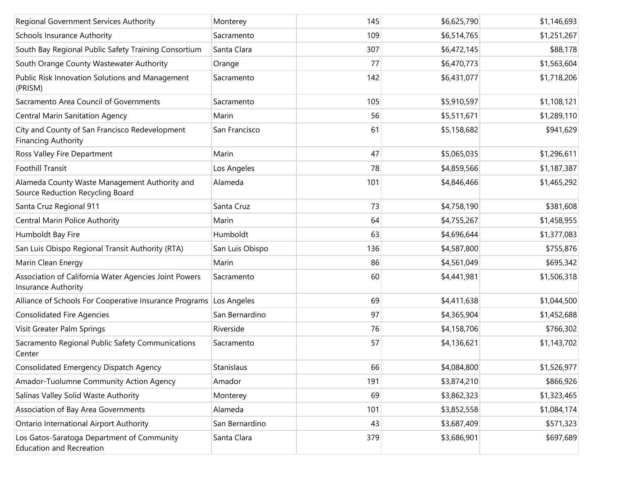| Regional Government Services Authority                                            | Monterey        | 145 | \$6,625,790 | \$1,146,693 |
|-----------------------------------------------------------------------------------|-----------------|-----|-------------|-------------|
| <b>Schools Insurance Authority</b>                                                | Sacramento      | 109 | \$6,514,765 | \$1,251,267 |
| South Bay Regional Public Safety Training Consortium                              | Santa Clara     | 307 | \$6,472,145 | \$88,178    |
| South Orange County Wastewater Authority                                          | Orange          | 77  | \$6,470,773 | \$1,563,604 |
| Public Risk Innovation Solutions and Management<br>(PRISM)                        | Sacramento      | 142 | \$6,431,077 | \$1,718,206 |
| Sacramento Area Council of Governments                                            | Sacramento      | 105 | \$5,910,597 | \$1,108,121 |
| <b>Central Marin Sanitation Agency</b>                                            | Marin           | 56  | \$5,511,671 | \$1,289,110 |
| City and County of San Francisco Redevelopment<br><b>Financing Authority</b>      | San Francisco   | 61  | \$5,158,682 | \$941,629   |
| Ross Valley Fire Department                                                       | Marin           | 47  | \$5,065,035 | \$1,296,611 |
| <b>Foothill Transit</b>                                                           | Los Angeles     | 78  | \$4,859,566 | \$1,187,387 |
| Alameda County Waste Management Authority and<br>Source Reduction Recycling Board | Alameda         | 101 | \$4,846,466 | \$1,465,292 |
| Santa Cruz Regional 911                                                           | Santa Cruz      | 73  | \$4,758,190 | \$381,608   |
| Central Marin Police Authority                                                    | Marin           | 64  | \$4,755,267 | \$1,458,955 |
| Humboldt Bay Fire                                                                 | Humboldt        | 63  | \$4,696,644 | \$1,377,083 |
| San Luis Obispo Regional Transit Authority (RTA)                                  | San Luis Obispo | 136 | \$4,587,800 | \$755,876   |
| Marin Clean Energy                                                                | Marin           | 86  | \$4,561,049 | \$695,342   |
| Association of California Water Agencies Joint Powers<br>Insurance Authority      | Sacramento      | 60  | \$4,441,981 | \$1,506,318 |
| Alliance of Schools For Cooperative Insurance Programs Los Angeles                |                 | 69  | \$4,411,638 | \$1,044,500 |
| <b>Consolidated Fire Agencies</b>                                                 | San Bernardino  | 97  | \$4,365,904 | \$1,452,688 |
| Visit Greater Palm Springs                                                        | Riverside       | 76  | \$4,158,706 | \$766,302   |
| Sacramento Regional Public Safety Communications<br>Center                        | Sacramento      | 57  | \$4,136,621 | \$1,143,702 |
| Consolidated Emergency Dispatch Agency                                            | Stanislaus      | 66  | \$4,084,800 | \$1,526,977 |
| Amador-Tuolumne Community Action Agency                                           | Amador          | 191 | \$3,874,210 | \$866,926   |
| Salinas Valley Solid Waste Authority                                              | Monterey        | 69  | \$3,862,323 | \$1,323,465 |
| Association of Bay Area Governments                                               | Alameda         | 101 | \$3,852,558 | \$1,084,174 |
| <b>Ontario International Airport Authority</b>                                    | San Bernardino  | 43  | \$3,687,409 | \$571,323   |
| Los Gatos-Saratoga Department of Community<br><b>Education and Recreation</b>     | Santa Clara     | 379 | \$3,686,901 | \$697,689   |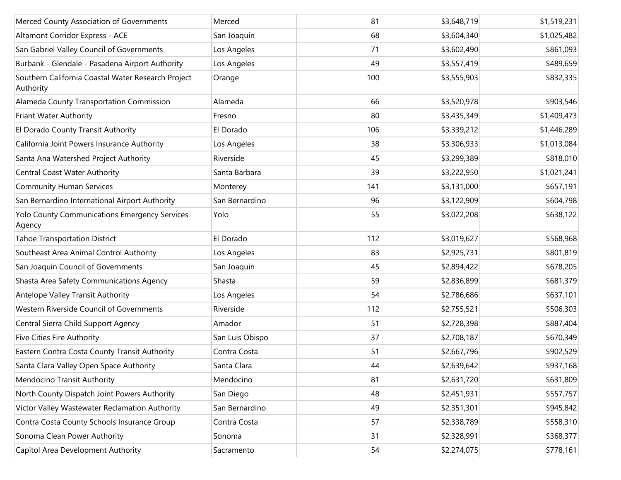| Merced County Association of Governments                        | Merced          | 81  | \$3,648,719 | \$1,519,231 |
|-----------------------------------------------------------------|-----------------|-----|-------------|-------------|
| Altamont Corridor Express - ACE                                 | San Joaquin     | 68  | \$3,604,340 | \$1,025,482 |
| San Gabriel Valley Council of Governments                       | Los Angeles     | 71  | \$3,602,490 | \$861,093   |
| Burbank - Glendale - Pasadena Airport Authority                 | Los Angeles     | 49  | \$3,557,419 | \$489,659   |
| Southern California Coastal Water Research Project<br>Authority | Orange          | 100 | \$3,555,903 | \$832,335   |
| Alameda County Transportation Commission                        | Alameda         | 66  | \$3,520,978 | \$903,546   |
| Friant Water Authority                                          | Fresno          | 80  | \$3,435,349 | \$1,409,473 |
| El Dorado County Transit Authority                              | El Dorado       | 106 | \$3,339,212 | \$1,446,289 |
| California Joint Powers Insurance Authority                     | Los Angeles     | 38  | \$3,306,933 | \$1,013,084 |
| Santa Ana Watershed Project Authority                           | Riverside       | 45  | \$3,299,389 | \$818,010   |
| Central Coast Water Authority                                   | Santa Barbara   | 39  | \$3,222,950 | \$1,021,241 |
| <b>Community Human Services</b>                                 | Monterey        | 141 | \$3,131,000 | \$657,191   |
| San Bernardino International Airport Authority                  | San Bernardino  | 96  | \$3,122,909 | \$604,798   |
| Yolo County Communications Emergency Services<br>Agency         | Yolo            | 55  | \$3,022,208 | \$638,122   |
| <b>Tahoe Transportation District</b>                            | El Dorado       | 112 | \$3,019,627 | \$568,968   |
| Southeast Area Animal Control Authority                         | Los Angeles     | 83  | \$2,925,731 | \$801,819   |
| San Joaquin Council of Governments                              | San Joaquin     | 45  | \$2,894,422 | \$678,205   |
| Shasta Area Safety Communications Agency                        | Shasta          | 59  | \$2,836,899 | \$681,379   |
| Antelope Valley Transit Authority                               | Los Angeles     | 54  | \$2,786,686 | \$637,101   |
| Western Riverside Council of Governments                        | Riverside       | 112 | \$2,755,521 | \$506,303   |
| Central Sierra Child Support Agency                             | Amador          | 51  | \$2,728,398 | \$887,404   |
| Five Cities Fire Authority                                      | San Luis Obispo | 37  | \$2,708,187 | \$670,349   |
| Eastern Contra Costa County Transit Authority                   | Contra Costa    | 51  | \$2,667,796 | \$902,529   |
| Santa Clara Valley Open Space Authority                         | Santa Clara     | 44  | \$2,639,642 | \$937,168   |
| Mendocino Transit Authority                                     | Mendocino       | 81  | \$2,631,720 | \$631,809   |
| North County Dispatch Joint Powers Authority                    | San Diego       | 48  | \$2,451,931 | \$557,757   |
| Victor Valley Wastewater Reclamation Authority                  | San Bernardino  | 49  | \$2,351,301 | \$945,842   |
| Contra Costa County Schools Insurance Group                     | Contra Costa    | 57  | \$2,338,789 | \$558,310   |
| Sonoma Clean Power Authority                                    | Sonoma          | 31  | \$2,328,991 | \$368,377   |
| Capitol Area Development Authority                              | Sacramento      | 54  | \$2,274,075 | \$778,161   |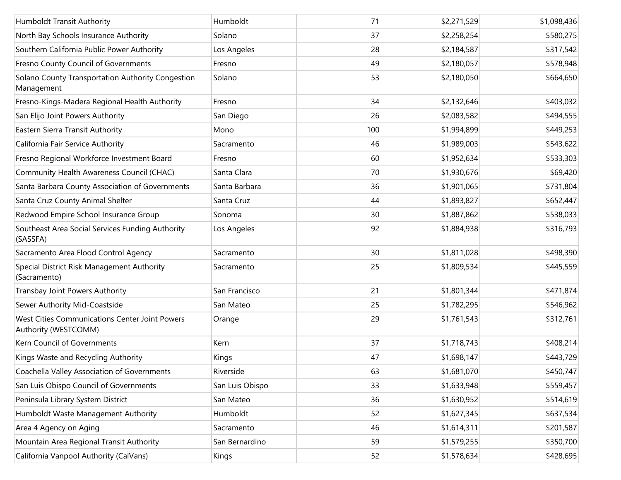| Humboldt Transit Authority                                             | Humboldt        | 71  | \$2,271,529 | \$1,098,436 |
|------------------------------------------------------------------------|-----------------|-----|-------------|-------------|
| North Bay Schools Insurance Authority                                  | Solano          | 37  | \$2,258,254 | \$580,275   |
| Southern California Public Power Authority                             | Los Angeles     | 28  | \$2,184,587 | \$317,542   |
| Fresno County Council of Governments                                   | Fresno          | 49  | \$2,180,057 | \$578,948   |
| Solano County Transportation Authority Congestion<br>Management        | Solano          | 53  | \$2,180,050 | \$664,650   |
| Fresno-Kings-Madera Regional Health Authority                          | Fresno          | 34  | \$2,132,646 | \$403,032   |
| San Elijo Joint Powers Authority                                       | San Diego       | 26  | \$2,083,582 | \$494,555   |
| Eastern Sierra Transit Authority                                       | Mono            | 100 | \$1,994,899 | \$449,253   |
| California Fair Service Authority                                      | Sacramento      | 46  | \$1,989,003 | \$543,622   |
| Fresno Regional Workforce Investment Board                             | Fresno          | 60  | \$1,952,634 | \$533,303   |
| Community Health Awareness Council (CHAC)                              | Santa Clara     | 70  | \$1,930,676 | \$69,420    |
| Santa Barbara County Association of Governments                        | Santa Barbara   | 36  | \$1,901,065 | \$731,804   |
| Santa Cruz County Animal Shelter                                       | Santa Cruz      | 44  | \$1,893,827 | \$652,447   |
| Redwood Empire School Insurance Group                                  | Sonoma          | 30  | \$1,887,862 | \$538,033   |
| Southeast Area Social Services Funding Authority<br>(SASSFA)           | Los Angeles     | 92  | \$1,884,938 | \$316,793   |
| Sacramento Area Flood Control Agency                                   | Sacramento      | 30  | \$1,811,028 | \$498,390   |
| Special District Risk Management Authority<br>(Sacramento)             | Sacramento      | 25  | \$1,809,534 | \$445,559   |
| Transbay Joint Powers Authority                                        | San Francisco   | 21  | \$1,801,344 | \$471,874   |
| Sewer Authority Mid-Coastside                                          | San Mateo       | 25  | \$1,782,295 | \$546,962   |
| West Cities Communications Center Joint Powers<br>Authority (WESTCOMM) | Orange          | 29  | \$1,761,543 | \$312,761   |
| Kern Council of Governments                                            | Kern            | 37  | \$1,718,743 | \$408,214   |
| Kings Waste and Recycling Authority                                    | Kings           | 47  | \$1,698,147 | \$443,729   |
| Coachella Valley Association of Governments                            | Riverside       | 63  | \$1,681,070 | \$450,747   |
| San Luis Obispo Council of Governments                                 | San Luis Obispo | 33  | \$1,633,948 | \$559,457   |
| Peninsula Library System District                                      | San Mateo       | 36  | \$1,630,952 | \$514,619   |
| Humboldt Waste Management Authority                                    | Humboldt        | 52  | \$1,627,345 | \$637,534   |
| Area 4 Agency on Aging                                                 | Sacramento      | 46  | \$1,614,311 | \$201,587   |
| Mountain Area Regional Transit Authority                               | San Bernardino  | 59  | \$1,579,255 | \$350,700   |
| California Vanpool Authority (CalVans)                                 | Kings           | 52  | \$1,578,634 | \$428,695   |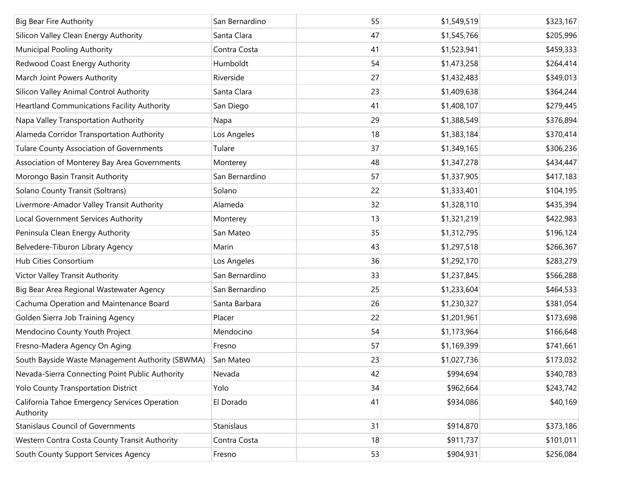| <b>Big Bear Fire Authority</b>                             | San Bernardino | 55 | \$1,549,519 | \$323,167 |
|------------------------------------------------------------|----------------|----|-------------|-----------|
| Silicon Valley Clean Energy Authority                      | Santa Clara    | 47 | \$1,545,766 | \$205,996 |
| Municipal Pooling Authority                                | Contra Costa   | 41 | \$1,523,941 | \$459,333 |
| Redwood Coast Energy Authority                             | Humboldt       | 54 | \$1,473,258 | \$264,414 |
| March Joint Powers Authority                               | Riverside      | 27 | \$1,432,483 | \$349,013 |
| Silicon Valley Animal Control Authority                    | Santa Clara    | 23 | \$1,409,638 | \$364,244 |
| <b>Heartland Communications Facility Authority</b>         | San Diego      | 41 | \$1,408,107 | \$279,445 |
| Napa Valley Transportation Authority                       | Napa           | 29 | \$1,388,549 | \$376,894 |
| Alameda Corridor Transportation Authority                  | Los Angeles    | 18 | \$1,383,184 | \$370,414 |
| Tulare County Association of Governments                   | Tulare         | 37 | \$1,349,165 | \$306,236 |
| Association of Monterey Bay Area Governments               | Monterey       | 48 | \$1,347,278 | \$434,447 |
| Morongo Basin Transit Authority                            | San Bernardino | 57 | \$1,337,905 | \$417,183 |
| Solano County Transit (Soltrans)                           | Solano         | 22 | \$1,333,401 | \$104,195 |
| Livermore-Amador Valley Transit Authority                  | Alameda        | 32 | \$1,328,110 | \$435,394 |
| Local Government Services Authority                        | Monterey       | 13 | \$1,321,219 | \$422,983 |
| Peninsula Clean Energy Authority                           | San Mateo      | 35 | \$1,312,795 | \$196,124 |
| Belvedere-Tiburon Library Agency                           | Marin          | 43 | \$1,297,518 | \$266,367 |
| Hub Cities Consortium                                      | Los Angeles    | 36 | \$1,292,170 | \$283,279 |
| Victor Valley Transit Authority                            | San Bernardino | 33 | \$1,237,845 | \$566,288 |
| Big Bear Area Regional Wastewater Agency                   | San Bernardino | 25 | \$1,233,604 | \$464,533 |
| Cachuma Operation and Maintenance Board                    | Santa Barbara  | 26 | \$1,230,327 | \$381,054 |
| Golden Sierra Job Training Agency                          | Placer         | 22 | \$1,201,961 | \$173,698 |
| Mendocino County Youth Project                             | Mendocino      | 54 | \$1,173,964 | \$166,648 |
| Fresno-Madera Agency On Aging                              | Fresno         | 57 | \$1,169,399 | \$741,661 |
| South Bayside Waste Management Authority (SBWMA)           | San Mateo      | 23 | \$1,027,736 | \$173,032 |
| Nevada-Sierra Connecting Point Public Authority            | Nevada         | 42 | \$994,694   | \$340,783 |
| Yolo County Transportation District                        | Yolo           | 34 | \$962,664   | \$243,742 |
| California Tahoe Emergency Services Operation<br>Authority | El Dorado      | 41 | \$934,086   | \$40,169  |
| <b>Stanislaus Council of Governments</b>                   | Stanislaus     | 31 | \$914,870   | \$373,186 |
| Western Contra Costa County Transit Authority              | Contra Costa   | 18 | \$911,737   | \$101,011 |
| South County Support Services Agency                       | Fresno         | 53 | \$904,931   | \$256,084 |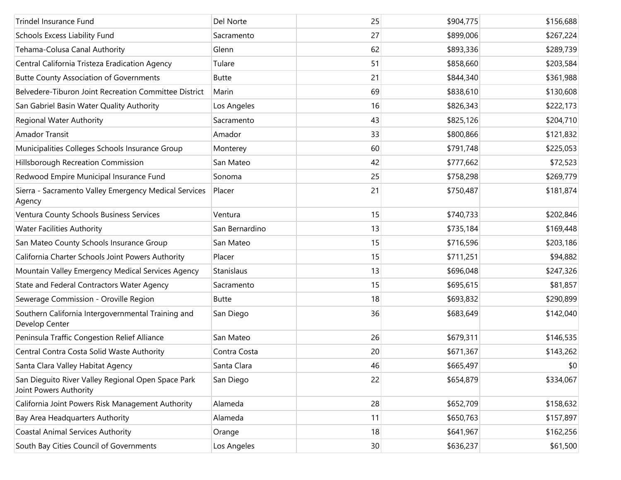| <b>Trindel Insurance Fund</b>                                                | Del Norte      | 25              | \$904,775 | \$156,688 |
|------------------------------------------------------------------------------|----------------|-----------------|-----------|-----------|
| Schools Excess Liability Fund                                                | Sacramento     | 27              | \$899,006 | \$267,224 |
| Tehama-Colusa Canal Authority                                                | Glenn          | 62              | \$893,336 | \$289,739 |
| Central California Tristeza Eradication Agency                               | Tulare         | 51              | \$858,660 | \$203,584 |
| <b>Butte County Association of Governments</b>                               | <b>Butte</b>   | 21              | \$844,340 | \$361,988 |
| Belvedere-Tiburon Joint Recreation Committee District                        | Marin          | 69              | \$838,610 | \$130,608 |
| San Gabriel Basin Water Quality Authority                                    | Los Angeles    | 16              | \$826,343 | \$222,173 |
| <b>Regional Water Authority</b>                                              | Sacramento     | 43              | \$825,126 | \$204,710 |
| <b>Amador Transit</b>                                                        | Amador         | 33              | \$800,866 | \$121,832 |
| Municipalities Colleges Schools Insurance Group                              | Monterey       | 60              | \$791,748 | \$225,053 |
| Hillsborough Recreation Commission                                           | San Mateo      | 42              | \$777,662 | \$72,523  |
| Redwood Empire Municipal Insurance Fund                                      | Sonoma         | 25              | \$758,298 | \$269,779 |
| Sierra - Sacramento Valley Emergency Medical Services<br>Agency              | Placer         | 21              | \$750,487 | \$181,874 |
| Ventura County Schools Business Services                                     | Ventura        | 15              | \$740,733 | \$202,846 |
| <b>Water Facilities Authority</b>                                            | San Bernardino | 13              | \$735,184 | \$169,448 |
| San Mateo County Schools Insurance Group                                     | San Mateo      | 15              | \$716,596 | \$203,186 |
| California Charter Schools Joint Powers Authority                            | Placer         | 15              | \$711,251 | \$94,882  |
| Mountain Valley Emergency Medical Services Agency                            | Stanislaus     | 13              | \$696,048 | \$247,326 |
| State and Federal Contractors Water Agency                                   | Sacramento     | 15              | \$695,615 | \$81,857  |
| Sewerage Commission - Oroville Region                                        | <b>Butte</b>   | 18              | \$693,832 | \$290,899 |
| Southern California Intergovernmental Training and<br>Develop Center         | San Diego      | 36              | \$683,649 | \$142,040 |
| Peninsula Traffic Congestion Relief Alliance                                 | San Mateo      | 26              | \$679,311 | \$146,535 |
| Central Contra Costa Solid Waste Authority                                   | Contra Costa   | 20              | \$671,367 | \$143,262 |
| Santa Clara Valley Habitat Agency                                            | Santa Clara    | 46              | \$665,497 | \$0       |
| San Dieguito River Valley Regional Open Space Park<br>Joint Powers Authority | San Diego      | 22              | \$654,879 | \$334,067 |
| California Joint Powers Risk Management Authority                            | Alameda        | 28              | \$652,709 | \$158,632 |
| Bay Area Headquarters Authority                                              | Alameda        | 11              | \$650,763 | \$157,897 |
| <b>Coastal Animal Services Authority</b>                                     | Orange         | 18              | \$641,967 | \$162,256 |
| South Bay Cities Council of Governments                                      | Los Angeles    | 30 <sup>°</sup> | \$636,237 | \$61,500  |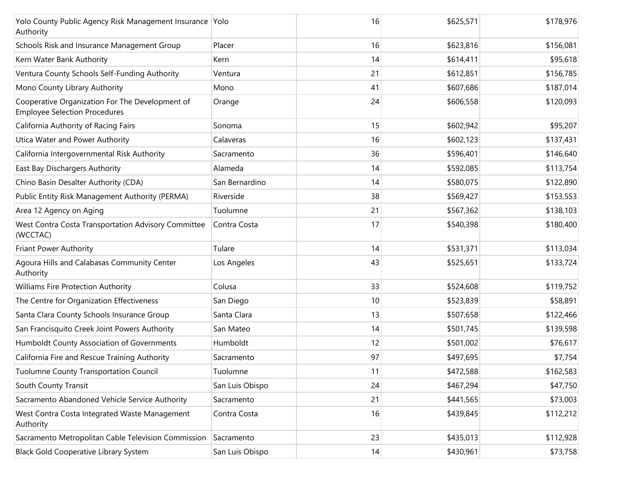| Yolo County Public Agency Risk Management Insurance Yolo<br>Authority                   |                 | 16 | \$625,571 | \$178,976 |
|-----------------------------------------------------------------------------------------|-----------------|----|-----------|-----------|
| Schools Risk and Insurance Management Group                                             | Placer          | 16 | \$623,816 | \$156,081 |
| Kern Water Bank Authority                                                               | Kern            | 14 | \$614,411 | \$95,618  |
| Ventura County Schools Self-Funding Authority                                           | Ventura         | 21 | \$612,851 | \$156,785 |
| Mono County Library Authority                                                           | Mono            | 41 | \$607,686 | \$187,014 |
| Cooperative Organization For The Development of<br><b>Employee Selection Procedures</b> | Orange          | 24 | \$606,558 | \$120,093 |
| California Authority of Racing Fairs                                                    | Sonoma          | 15 | \$602,942 | \$95,207  |
| Utica Water and Power Authority                                                         | Calaveras       | 16 | \$602,123 | \$137,431 |
| California Intergovernmental Risk Authority                                             | Sacramento      | 36 | \$596,401 | \$146,640 |
| East Bay Dischargers Authority                                                          | Alameda         | 14 | \$592,085 | \$113,754 |
| Chino Basin Desalter Authority (CDA)                                                    | San Bernardino  | 14 | \$580,075 | \$122,890 |
| Public Entity Risk Management Authority (PERMA)                                         | Riverside       | 38 | \$569,427 | \$153,553 |
| Area 12 Agency on Aging                                                                 | Tuolumne        | 21 | \$567,362 | \$138,103 |
| West Contra Costa Transportation Advisory Committee<br>(WCCTAC)                         | Contra Costa    | 17 | \$540,398 | \$180,400 |
| Friant Power Authority                                                                  | Tulare          | 14 | \$531,371 | \$113,034 |
| Agoura Hills and Calabasas Community Center<br>Authority                                | Los Angeles     | 43 | \$525,651 | \$133,724 |
| Williams Fire Protection Authority                                                      | Colusa          | 33 | \$524,608 | \$119,752 |
| The Centre for Organization Effectiveness                                               | San Diego       | 10 | \$523,839 | \$58,891  |
| Santa Clara County Schools Insurance Group                                              | Santa Clara     | 13 | \$507,658 | \$122,466 |
| San Francisquito Creek Joint Powers Authority                                           | San Mateo       | 14 | \$501,745 | \$139,598 |
| Humboldt County Association of Governments                                              | Humboldt        | 12 | \$501,002 | \$76,617  |
| California Fire and Rescue Training Authority                                           | Sacramento      | 97 | \$497,695 | \$7,754   |
| Tuolumne County Transportation Council                                                  | Tuolumne        | 11 | \$472,588 | \$162,583 |
| South County Transit                                                                    | San Luis Obispo | 24 | \$467,294 | \$47,750  |
| Sacramento Abandoned Vehicle Service Authority                                          | Sacramento      | 21 | \$441,565 | \$73,003  |
| West Contra Costa Integrated Waste Management<br>Authority                              | Contra Costa    | 16 | \$439,845 | \$112,212 |
| Sacramento Metropolitan Cable Television Commission                                     | Sacramento      | 23 | \$435,013 | \$112,928 |
| Black Gold Cooperative Library System                                                   | San Luis Obispo | 4  | \$430,961 | \$73,758  |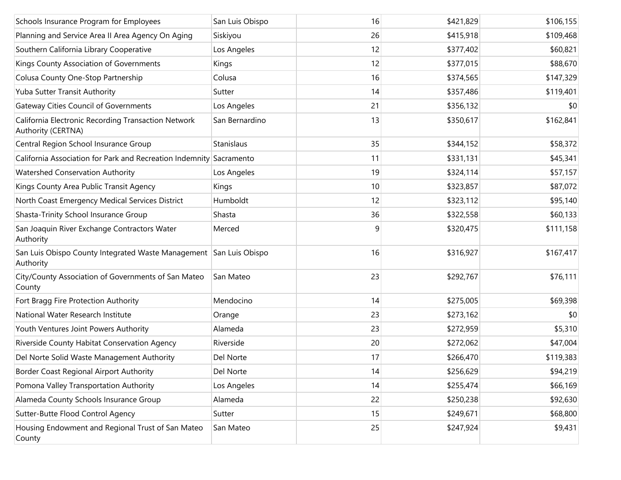| Schools Insurance Program for Employees                                         | San Luis Obispo | 16 | \$421,829 | \$106,155 |
|---------------------------------------------------------------------------------|-----------------|----|-----------|-----------|
| Planning and Service Area II Area Agency On Aging                               | Siskiyou        | 26 | \$415,918 | \$109,468 |
| Southern California Library Cooperative                                         | Los Angeles     | 12 | \$377,402 | \$60,821  |
| Kings County Association of Governments                                         | Kings           | 12 | \$377,015 | \$88,670  |
| Colusa County One-Stop Partnership                                              | Colusa          | 16 | \$374,565 | \$147,329 |
| Yuba Sutter Transit Authority                                                   | Sutter          | 14 | \$357,486 | \$119,401 |
| <b>Gateway Cities Council of Governments</b>                                    | Los Angeles     | 21 | \$356,132 | \$0       |
| California Electronic Recording Transaction Network<br>Authority (CERTNA)       | San Bernardino  | 13 | \$350,617 | \$162,841 |
| Central Region School Insurance Group                                           | Stanislaus      | 35 | \$344,152 | \$58,372  |
| California Association for Park and Recreation Indemnity Sacramento             |                 | 11 | \$331,131 | \$45,341  |
| Watershed Conservation Authority                                                | Los Angeles     | 19 | \$324,114 | \$57,157  |
| Kings County Area Public Transit Agency                                         | Kings           | 10 | \$323,857 | \$87,072  |
| North Coast Emergency Medical Services District                                 | Humboldt        | 12 | \$323,112 | \$95,140  |
| Shasta-Trinity School Insurance Group                                           | Shasta          | 36 | \$322,558 | \$60,133  |
| San Joaquin River Exchange Contractors Water<br>Authority                       | Merced          | 9  | \$320,475 | \$111,158 |
| San Luis Obispo County Integrated Waste Management San Luis Obispo<br>Authority |                 | 16 | \$316,927 | \$167,417 |
| City/County Association of Governments of San Mateo<br>County                   | San Mateo       | 23 | \$292,767 | \$76,111  |
| Fort Bragg Fire Protection Authority                                            | Mendocino       | 14 | \$275,005 | \$69,398  |
| National Water Research Institute                                               | Orange          | 23 | \$273,162 | \$0       |
| Youth Ventures Joint Powers Authority                                           | Alameda         | 23 | \$272,959 | \$5,310   |
| Riverside County Habitat Conservation Agency                                    | Riverside       | 20 | \$272,062 | \$47,004  |
| Del Norte Solid Waste Management Authority                                      | Del Norte       | 17 | \$266,470 | \$119,383 |
| Border Coast Regional Airport Authority                                         | Del Norte       | 14 | \$256,629 | \$94,219  |
| Pomona Valley Transportation Authority                                          | Los Angeles     | 14 | \$255,474 | \$66,169  |
| Alameda County Schools Insurance Group                                          | Alameda         | 22 | \$250,238 | \$92,630  |
| Sutter-Butte Flood Control Agency                                               | Sutter          | 15 | \$249,671 | \$68,800  |
| Housing Endowment and Regional Trust of San Mateo<br>County                     | San Mateo       | 25 | \$247,924 | \$9,431   |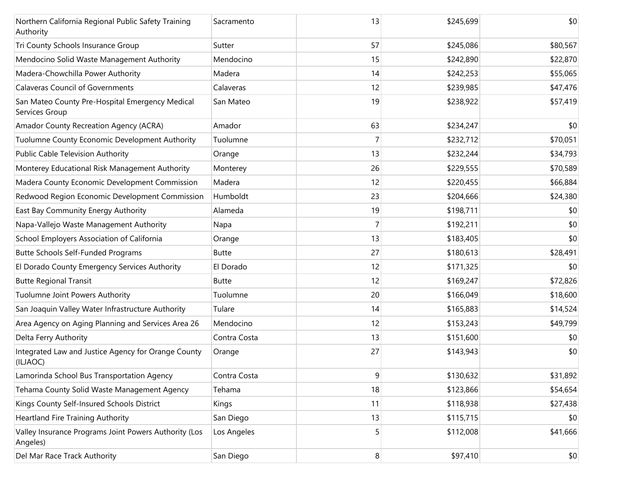| Northern California Regional Public Safety Training<br>Authority  | Sacramento   | 13 | \$245,699 | \$0      |
|-------------------------------------------------------------------|--------------|----|-----------|----------|
| Tri County Schools Insurance Group                                | Sutter       | 57 | \$245,086 | \$80,567 |
| Mendocino Solid Waste Management Authority                        | Mendocino    | 15 | \$242,890 | \$22,870 |
| Madera-Chowchilla Power Authority                                 | Madera       | 14 | \$242,253 | \$55,065 |
| <b>Calaveras Council of Governments</b>                           | Calaveras    | 12 | \$239,985 | \$47,476 |
| San Mateo County Pre-Hospital Emergency Medical<br>Services Group | San Mateo    | 19 | \$238,922 | \$57,419 |
| Amador County Recreation Agency (ACRA)                            | Amador       | 63 | \$234,247 | \$0      |
| Tuolumne County Economic Development Authority                    | Tuolumne     | 7  | \$232,712 | \$70,051 |
| Public Cable Television Authority                                 | Orange       | 13 | \$232,244 | \$34,793 |
| Monterey Educational Risk Management Authority                    | Monterey     | 26 | \$229,555 | \$70,589 |
| Madera County Economic Development Commission                     | Madera       | 12 | \$220,455 | \$66,884 |
| Redwood Region Economic Development Commission                    | Humboldt     | 23 | \$204,666 | \$24,380 |
| East Bay Community Energy Authority                               | Alameda      | 19 | \$198,711 | \$0      |
| Napa-Vallejo Waste Management Authority                           | Napa         | 7  | \$192,211 | \$0      |
| School Employers Association of California                        | Orange       | 13 | \$183,405 | \$0      |
| Butte Schools Self-Funded Programs                                | <b>Butte</b> | 27 | \$180,613 | \$28,491 |
| El Dorado County Emergency Services Authority                     | El Dorado    | 12 | \$171,325 | \$0      |
| <b>Butte Regional Transit</b>                                     | Butte        | 12 | \$169,247 | \$72,826 |
| Tuolumne Joint Powers Authority                                   | Tuolumne     | 20 | \$166,049 | \$18,600 |
| San Joaquin Valley Water Infrastructure Authority                 | Tulare       | 14 | \$165,883 | \$14,524 |
| Area Agency on Aging Planning and Services Area 26                | Mendocino    | 12 | \$153,243 | \$49,799 |
| Delta Ferry Authority                                             | Contra Costa | 13 | \$151,600 | \$0      |
| Integrated Law and Justice Agency for Orange County<br>(ILJAOC)   | Orange       | 27 | \$143,943 | \$0      |
| Lamorinda School Bus Transportation Agency                        | Contra Costa | 9  | \$130,632 | \$31,892 |
| Tehama County Solid Waste Management Agency                       | Tehama       | 18 | \$123,866 | \$54,654 |
| Kings County Self-Insured Schools District                        | Kings        | 11 | \$118,938 | \$27,438 |
| <b>Heartland Fire Training Authority</b>                          | San Diego    | 13 | \$115,715 | \$0      |
| Valley Insurance Programs Joint Powers Authority (Los<br>Angeles) | Los Angeles  | 5  | \$112,008 | \$41,666 |
| Del Mar Race Track Authority                                      | San Diego    | 8  | \$97,410  | \$0      |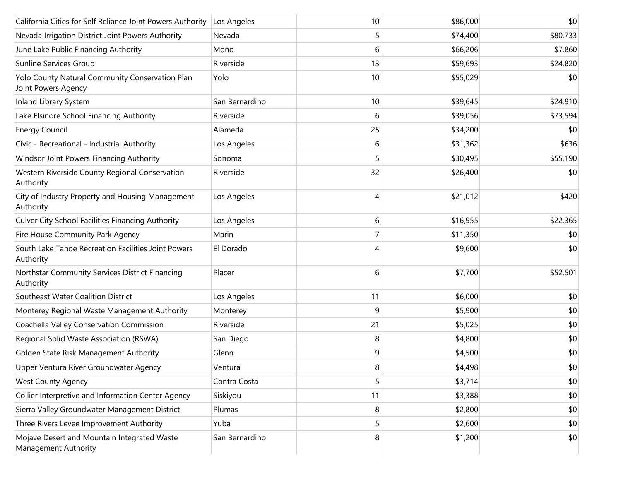| California Cities for Self Reliance Joint Powers Authority             | Los Angeles    | 10             | \$86,000 | \$0      |
|------------------------------------------------------------------------|----------------|----------------|----------|----------|
| Nevada Irrigation District Joint Powers Authority                      | Nevada         | 5              | \$74,400 | \$80,733 |
| June Lake Public Financing Authority                                   | Mono           | 6              | \$66,206 | \$7,860  |
| Sunline Services Group                                                 | Riverside      | 13             | \$59,693 | \$24,820 |
| Yolo County Natural Community Conservation Plan<br>Joint Powers Agency | Yolo           | 10             | \$55,029 | \$0      |
| Inland Library System                                                  | San Bernardino | 10             | \$39,645 | \$24,910 |
| Lake Elsinore School Financing Authority                               | Riverside      | 6              | \$39,056 | \$73,594 |
| <b>Energy Council</b>                                                  | Alameda        | 25             | \$34,200 | \$0      |
| Civic - Recreational - Industrial Authority                            | Los Angeles    | 6              | \$31,362 | \$636    |
| Windsor Joint Powers Financing Authority                               | Sonoma         | 5              | \$30,495 | \$55,190 |
| Western Riverside County Regional Conservation<br>Authority            | Riverside      | 32             | \$26,400 | \$0      |
| City of Industry Property and Housing Management<br>Authority          | Los Angeles    | 4              | \$21,012 | \$420    |
| <b>Culver City School Facilities Financing Authority</b>               | Los Angeles    | 6              | \$16,955 | \$22,365 |
| Fire House Community Park Agency                                       | Marin          | 7              | \$11,350 | \$0      |
| South Lake Tahoe Recreation Facilities Joint Powers<br>Authority       | El Dorado      | 4              | \$9,600  | \$0      |
| Northstar Community Services District Financing<br>Authority           | Placer         | 6              | \$7,700  | \$52,501 |
| Southeast Water Coalition District                                     | Los Angeles    | 11             | \$6,000  | \$0      |
| Monterey Regional Waste Management Authority                           | Monterey       | 9              | \$5,900  | \$0      |
| Coachella Valley Conservation Commission                               | Riverside      | 21             | \$5,025  | \$0      |
| Regional Solid Waste Association (RSWA)                                | San Diego      | 8              | \$4,800  | \$0      |
| Golden State Risk Management Authority                                 | Glenn          | 9              | \$4,500  | \$0      |
| Upper Ventura River Groundwater Agency                                 | Ventura        | 8              | \$4,498  | \$0      |
| <b>West County Agency</b>                                              | Contra Costa   | 5              | \$3,714  | \$0      |
| Collier Interpretive and Information Center Agency                     | Siskiyou       | 11             | \$3,388  | \$0      |
| Sierra Valley Groundwater Management District                          | Plumas         | 8              | \$2,800  | \$0      |
| Three Rivers Levee Improvement Authority                               | Yuba           | 5 <sup>1</sup> | \$2,600  | \$0      |
| Mojave Desert and Mountain Integrated Waste<br>Management Authority    | San Bernardino | 8              | \$1,200  | \$0      |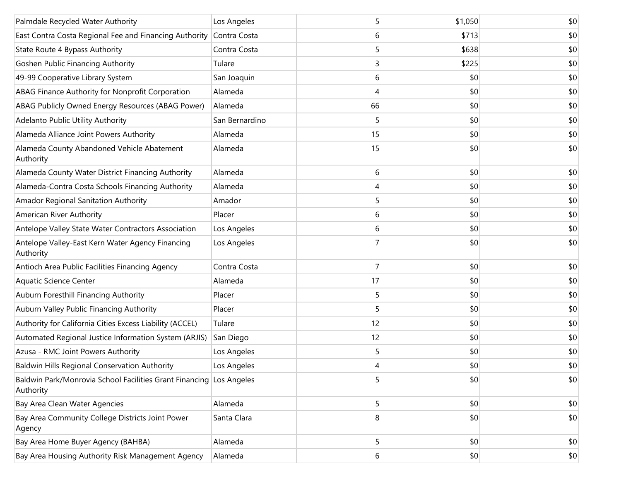| Palmdale Recycled Water Authority                                                | Los Angeles    | 5  | \$1,050 | \$0 |
|----------------------------------------------------------------------------------|----------------|----|---------|-----|
| East Contra Costa Regional Fee and Financing Authority                           | Contra Costa   | 6  | \$713   | \$0 |
| State Route 4 Bypass Authority                                                   | Contra Costa   | 5  | \$638   | \$0 |
| <b>Goshen Public Financing Authority</b>                                         | Tulare         | 3  | \$225   | \$0 |
| 49-99 Cooperative Library System                                                 | San Joaquin    | 6  | \$0     | \$0 |
| ABAG Finance Authority for Nonprofit Corporation                                 | Alameda        | 4  | \$0     | \$0 |
| ABAG Publicly Owned Energy Resources (ABAG Power)                                | Alameda        | 66 | \$0     | \$0 |
| Adelanto Public Utility Authority                                                | San Bernardino | 5  | \$0     | \$0 |
| Alameda Alliance Joint Powers Authority                                          | Alameda        | 15 | \$0     | \$0 |
| Alameda County Abandoned Vehicle Abatement<br>Authority                          | Alameda        | 15 | \$0     | \$0 |
| Alameda County Water District Financing Authority                                | Alameda        | 6  | \$0     | \$0 |
| Alameda-Contra Costa Schools Financing Authority                                 | Alameda        | 4  | \$0     | \$0 |
| Amador Regional Sanitation Authority                                             | Amador         | 5  | \$0     | \$0 |
| American River Authority                                                         | Placer         | 6  | \$0     | \$0 |
| Antelope Valley State Water Contractors Association                              | Los Angeles    | 6  | \$0     | \$0 |
| Antelope Valley-East Kern Water Agency Financing<br>Authority                    | Los Angeles    |    | \$0     | \$0 |
| Antioch Area Public Facilities Financing Agency                                  | Contra Costa   | 7  | \$0     | \$0 |
| <b>Aquatic Science Center</b>                                                    | Alameda        | 17 | \$0     | \$0 |
| Auburn Foresthill Financing Authority                                            | Placer         | 5  | \$0     | \$0 |
| Auburn Valley Public Financing Authority                                         | Placer         | 5  | \$0     | \$0 |
| Authority for California Cities Excess Liability (ACCEL)                         | Tulare         | 12 | \$0     | \$0 |
| Automated Regional Justice Information System (ARJIS)                            | San Diego      | 12 | \$0     | \$0 |
| Azusa - RMC Joint Powers Authority                                               | Los Angeles    | 5  | \$0     | \$0 |
| Baldwin Hills Regional Conservation Authority                                    | Los Angeles    | 4  | \$0     | \$0 |
| Baldwin Park/Monrovia School Facilities Grant Financing Los Angeles<br>Authority |                | 5  | \$0     | \$0 |
| Bay Area Clean Water Agencies                                                    | Alameda        | 5  | \$0     | \$0 |
| Bay Area Community College Districts Joint Power<br>Agency                       | Santa Clara    | 8  | \$0     | \$0 |
| Bay Area Home Buyer Agency (BAHBA)                                               | Alameda        | 5  | \$0     | \$0 |
| Bay Area Housing Authority Risk Management Agency                                | Alameda        | 6  | \$0     | \$0 |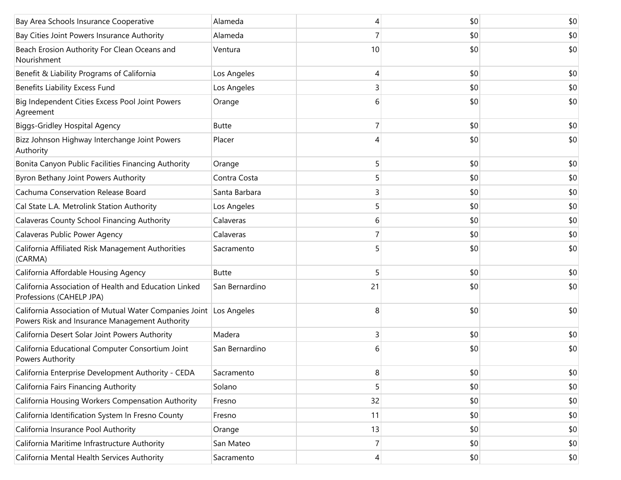| Bay Area Schools Insurance Cooperative                                                                               | Alameda        | 4  | \$0 | \$0 |
|----------------------------------------------------------------------------------------------------------------------|----------------|----|-----|-----|
| Bay Cities Joint Powers Insurance Authority                                                                          | Alameda        | 7  | \$0 | \$0 |
| Beach Erosion Authority For Clean Oceans and<br>Nourishment                                                          | Ventura        | 10 | \$0 | \$0 |
| Benefit & Liability Programs of California                                                                           | Los Angeles    | 4  | \$0 | \$0 |
| Benefits Liability Excess Fund                                                                                       | Los Angeles    | 3  | \$0 | \$0 |
| Big Independent Cities Excess Pool Joint Powers<br>Agreement                                                         | Orange         | 6  | \$0 | \$0 |
| <b>Biggs-Gridley Hospital Agency</b>                                                                                 | <b>Butte</b>   | 7  | \$0 | \$0 |
| Bizz Johnson Highway Interchange Joint Powers<br>Authority                                                           | Placer         | 4  | \$0 | \$0 |
| Bonita Canyon Public Facilities Financing Authority                                                                  | Orange         | 5  | \$0 | \$0 |
| Byron Bethany Joint Powers Authority                                                                                 | Contra Costa   | 5  | \$0 | \$0 |
| Cachuma Conservation Release Board                                                                                   | Santa Barbara  | 3  | \$0 | \$0 |
| Cal State L.A. Metrolink Station Authority                                                                           | Los Angeles    | 5  | \$0 | \$0 |
| Calaveras County School Financing Authority                                                                          | Calaveras      | 6  | \$0 | \$0 |
| Calaveras Public Power Agency                                                                                        | Calaveras      | 7  | \$0 | \$0 |
| California Affiliated Risk Management Authorities<br>(CARMA)                                                         | Sacramento     |    | \$0 | \$0 |
| California Affordable Housing Agency                                                                                 | <b>Butte</b>   | 5  | \$0 | \$0 |
| California Association of Health and Education Linked<br>Professions (CAHELP JPA)                                    | San Bernardino | 21 | \$0 | \$0 |
| California Association of Mutual Water Companies Joint Los Angeles<br>Powers Risk and Insurance Management Authority |                | 8  | \$0 | \$0 |
| California Desert Solar Joint Powers Authority                                                                       | Madera         | 3  | \$0 | \$0 |
| California Educational Computer Consortium Joint<br>Powers Authority                                                 | San Bernardino | 6  | \$0 | \$0 |
| California Enterprise Development Authority - CEDA                                                                   | Sacramento     | 8  | \$0 | \$0 |
| California Fairs Financing Authority                                                                                 | Solano         | 5  | \$0 | \$0 |
| California Housing Workers Compensation Authority                                                                    | Fresno         | 32 | \$0 | \$0 |
| California Identification System In Fresno County                                                                    | Fresno         | 11 | \$0 | \$0 |
| California Insurance Pool Authority                                                                                  | Orange         | 13 | \$0 | \$0 |
| California Maritime Infrastructure Authority                                                                         | San Mateo      | 7  | \$0 | \$0 |
| California Mental Health Services Authority                                                                          | Sacramento     | 4  | \$0 | \$0 |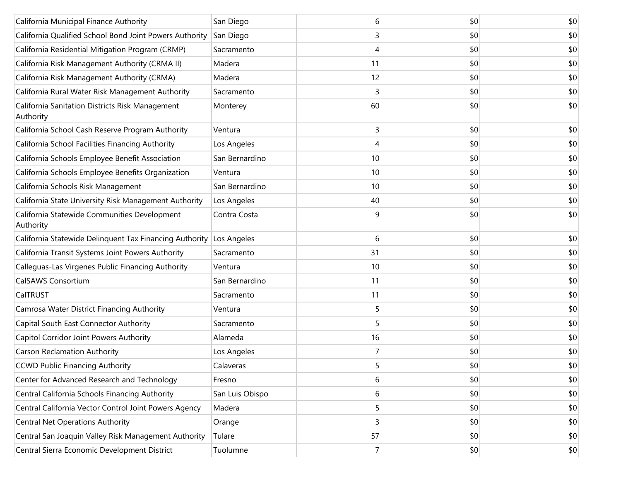| California Municipal Finance Authority                       | San Diego       | 6              | \$0 | \$0 |
|--------------------------------------------------------------|-----------------|----------------|-----|-----|
| California Qualified School Bond Joint Powers Authority      | San Diego       | 3              | \$0 | \$0 |
| California Residential Mitigation Program (CRMP)             | Sacramento      | 4              | \$0 | \$0 |
| California Risk Management Authority (CRMA II)               | Madera          | 11             | \$0 | \$0 |
| California Risk Management Authority (CRMA)                  | Madera          | 12             | \$0 | \$0 |
| California Rural Water Risk Management Authority             | Sacramento      | 3              | \$0 | \$0 |
| California Sanitation Districts Risk Management<br>Authority | Monterey        | 60             | \$0 | \$0 |
| California School Cash Reserve Program Authority             | Ventura         | 3              | \$0 | \$0 |
| California School Facilities Financing Authority             | Los Angeles     | 4              | \$0 | \$0 |
| California Schools Employee Benefit Association              | San Bernardino  | 10             | \$0 | \$0 |
| California Schools Employee Benefits Organization            | Ventura         | 10             | \$0 | \$0 |
| California Schools Risk Management                           | San Bernardino  | 10             | \$0 | \$0 |
| California State University Risk Management Authority        | Los Angeles     | 40             | \$0 | \$0 |
| California Statewide Communities Development<br>Authority    | Contra Costa    | 9              | \$0 | \$0 |
| California Statewide Delinquent Tax Financing Authority      | Los Angeles     | 6              | \$0 | \$0 |
| California Transit Systems Joint Powers Authority            | Sacramento      | 31             | \$0 | \$0 |
| Calleguas-Las Virgenes Public Financing Authority            | Ventura         | 10             | \$0 | \$0 |
| CalSAWS Consortium                                           | San Bernardino  | 11             | \$0 | \$0 |
| CalTRUST                                                     | Sacramento      | 11             | \$0 | \$0 |
| Camrosa Water District Financing Authority                   | Ventura         | 5              | \$0 | \$0 |
| Capital South East Connector Authority                       | Sacramento      | 5              | \$0 | \$0 |
| Capitol Corridor Joint Powers Authority                      | Alameda         | 16             | \$0 | \$0 |
| <b>Carson Reclamation Authority</b>                          | Los Angeles     | 7              | \$0 | \$0 |
| <b>CCWD Public Financing Authority</b>                       | Calaveras       | 5              | \$0 | \$0 |
| Center for Advanced Research and Technology                  | Fresno          | 6              | \$0 | \$0 |
| Central California Schools Financing Authority               | San Luis Obispo | 6              | \$0 | \$0 |
| Central California Vector Control Joint Powers Agency        | Madera          | 5              | \$0 | \$0 |
| <b>Central Net Operations Authority</b>                      | Orange          | 3              | \$0 | \$0 |
| Central San Joaquin Valley Risk Management Authority         | Tulare          | 57             | \$0 | \$0 |
| Central Sierra Economic Development District                 | Tuolumne        | $\overline{7}$ | \$0 | \$0 |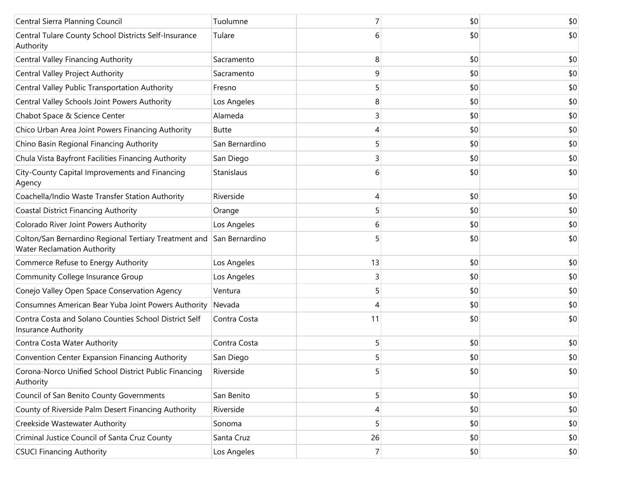| Central Sierra Planning Council                                                             | Tuolumne       |    | \$0 | \$0 |
|---------------------------------------------------------------------------------------------|----------------|----|-----|-----|
| Central Tulare County School Districts Self-Insurance<br>Authority                          | Tulare         | 6  | \$0 | \$0 |
| Central Valley Financing Authority                                                          | Sacramento     | 8  | \$0 | \$0 |
| Central Valley Project Authority                                                            | Sacramento     | 9  | \$0 | \$0 |
| Central Valley Public Transportation Authority                                              | Fresno         | 5  | \$0 | \$0 |
| Central Valley Schools Joint Powers Authority                                               | Los Angeles    | 8  | \$0 | \$0 |
| Chabot Space & Science Center                                                               | Alameda        | 3  | \$0 | \$0 |
| Chico Urban Area Joint Powers Financing Authority                                           | <b>Butte</b>   | 4  | \$0 | \$0 |
| Chino Basin Regional Financing Authority                                                    | San Bernardino | 5  | \$0 | \$0 |
| Chula Vista Bayfront Facilities Financing Authority                                         | San Diego      | 3  | \$0 | \$0 |
| City-County Capital Improvements and Financing<br>Agency                                    | Stanislaus     | 6  | \$0 | \$0 |
| Coachella/Indio Waste Transfer Station Authority                                            | Riverside      | 4  | \$0 | \$0 |
| <b>Coastal District Financing Authority</b>                                                 | Orange         | 5  | \$0 | \$0 |
| Colorado River Joint Powers Authority                                                       | Los Angeles    | 6  | \$0 | \$0 |
| Colton/San Bernardino Regional Tertiary Treatment and<br><b>Water Reclamation Authority</b> | San Bernardino | 5  | \$0 | \$0 |
| Commerce Refuse to Energy Authority                                                         | Los Angeles    | 13 | \$0 | \$0 |
| Community College Insurance Group                                                           | Los Angeles    | 3  | \$0 | \$0 |
| Conejo Valley Open Space Conservation Agency                                                | Ventura        | 5  | \$0 | \$0 |
| Consumnes American Bear Yuba Joint Powers Authority                                         | Nevada         | 4  | \$0 | \$0 |
| Contra Costa and Solano Counties School District Self<br>Insurance Authority                | Contra Costa   | 11 | \$0 | \$0 |
| Contra Costa Water Authority                                                                | Contra Costa   | 5  | \$0 | \$0 |
| Convention Center Expansion Financing Authority                                             | San Diego      | 5  | \$0 | \$0 |
| Corona-Norco Unified School District Public Financing<br>Authority                          | Riverside      | 5  | \$0 | \$0 |
| Council of San Benito County Governments                                                    | San Benito     | 5  | \$0 | \$0 |
| County of Riverside Palm Desert Financing Authority                                         | Riverside      | 4  | \$0 | \$0 |
| Creekside Wastewater Authority                                                              | Sonoma         | 5  | \$0 | \$0 |
| Criminal Justice Council of Santa Cruz County                                               | Santa Cruz     | 26 | \$0 | \$0 |
| <b>CSUCI Financing Authority</b>                                                            | Los Angeles    | 7  | \$0 | \$0 |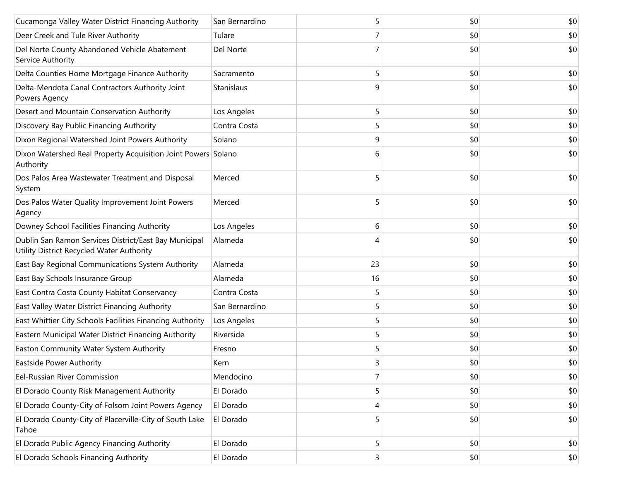| Cucamonga Valley Water District Financing Authority                                                | San Bernardino | 5  | \$0 | \$0 |
|----------------------------------------------------------------------------------------------------|----------------|----|-----|-----|
| Deer Creek and Tule River Authority                                                                | Tulare         | 7  | \$0 | \$0 |
| Del Norte County Abandoned Vehicle Abatement<br>Service Authority                                  | Del Norte      |    | \$0 | \$0 |
| Delta Counties Home Mortgage Finance Authority                                                     | Sacramento     | 5  | \$0 | \$0 |
| Delta-Mendota Canal Contractors Authority Joint<br>Powers Agency                                   | Stanislaus     | 9  | \$0 | \$0 |
| Desert and Mountain Conservation Authority                                                         | Los Angeles    | 5  | \$0 | \$0 |
| Discovery Bay Public Financing Authority                                                           | Contra Costa   | 5  | \$0 | \$0 |
| Dixon Regional Watershed Joint Powers Authority                                                    | Solano         | 9  | \$0 | \$0 |
| Dixon Watershed Real Property Acquisition Joint Powers Solano<br>Authority                         |                | 6  | \$0 | \$0 |
| Dos Palos Area Wastewater Treatment and Disposal<br>System                                         | Merced         | 5  | \$0 | \$0 |
| Dos Palos Water Quality Improvement Joint Powers<br>Agency                                         | Merced         | 5  | \$0 | \$0 |
| Downey School Facilities Financing Authority                                                       | Los Angeles    | 6  | \$0 | \$0 |
| Dublin San Ramon Services District/East Bay Municipal<br>Utility District Recycled Water Authority | Alameda        | 4  | \$0 | \$0 |
| East Bay Regional Communications System Authority                                                  | Alameda        | 23 | \$0 | \$0 |
| East Bay Schools Insurance Group                                                                   | Alameda        | 16 | \$0 | \$0 |
| East Contra Costa County Habitat Conservancy                                                       | Contra Costa   | 5  | \$0 | \$0 |
| East Valley Water District Financing Authority                                                     | San Bernardino | 5  | \$0 | \$0 |
| East Whittier City Schools Facilities Financing Authority                                          | Los Angeles    | 5  | \$0 | \$0 |
| Eastern Municipal Water District Financing Authority                                               | Riverside      | 5  | \$0 | \$0 |
| Easton Community Water System Authority                                                            | Fresno         | 5  | \$0 | \$0 |
| Eastside Power Authority                                                                           | Kern           | ς  | \$0 | \$0 |
| Eel-Russian River Commission                                                                       | Mendocino      | 7  | \$0 | \$0 |
| El Dorado County Risk Management Authority                                                         | El Dorado      | 5  | \$0 | \$0 |
| El Dorado County-City of Folsom Joint Powers Agency                                                | El Dorado      | 4  | \$0 | \$0 |
| El Dorado County-City of Placerville-City of South Lake<br>Tahoe                                   | El Dorado      | 5  | \$0 | \$0 |
| El Dorado Public Agency Financing Authority                                                        | El Dorado      | 5  | \$0 | \$0 |
| El Dorado Schools Financing Authority                                                              | El Dorado      | 3  | \$0 | \$0 |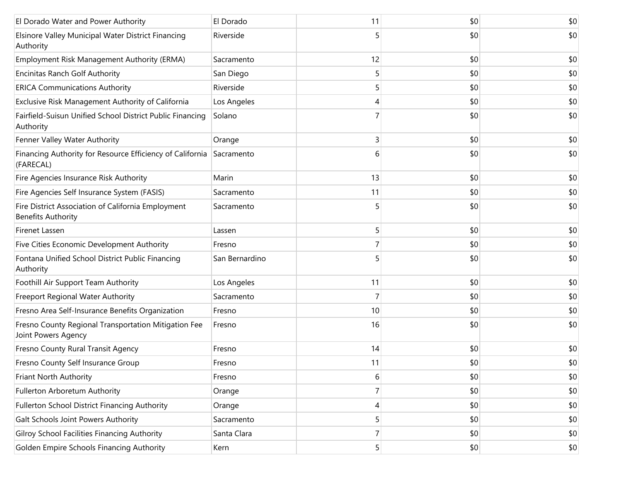| El Dorado Water and Power Authority                                             | El Dorado      | 11 | \$0 | \$0 |
|---------------------------------------------------------------------------------|----------------|----|-----|-----|
| Elsinore Valley Municipal Water District Financing<br>Authority                 | Riverside      | 5  | \$0 | \$0 |
| Employment Risk Management Authority (ERMA)                                     | Sacramento     | 12 | \$0 | \$0 |
| <b>Encinitas Ranch Golf Authority</b>                                           | San Diego      | 5  | \$0 | \$0 |
| <b>ERICA Communications Authority</b>                                           | Riverside      | 5  | \$0 | \$0 |
| Exclusive Risk Management Authority of California                               | Los Angeles    | 4  | \$0 | \$0 |
| Fairfield-Suisun Unified School District Public Financing<br>Authority          | Solano         |    | \$0 | \$0 |
| Fenner Valley Water Authority                                                   | Orange         | 3  | \$0 | \$0 |
| Financing Authority for Resource Efficiency of California<br>(FARECAL)          | Sacramento     | 6  | \$0 | \$0 |
| Fire Agencies Insurance Risk Authority                                          | Marin          | 13 | \$0 | \$0 |
| Fire Agencies Self Insurance System (FASIS)                                     | Sacramento     | 11 | \$0 | \$0 |
| Fire District Association of California Employment<br><b>Benefits Authority</b> | Sacramento     | 5  | \$0 | \$0 |
| Firenet Lassen                                                                  | Lassen         | 5  | \$0 | \$0 |
| Five Cities Economic Development Authority                                      | Fresno         | 7  | \$0 | \$0 |
| Fontana Unified School District Public Financing<br>Authority                   | San Bernardino | 5  | \$0 | \$0 |
| Foothill Air Support Team Authority                                             | Los Angeles    | 11 | \$0 | \$0 |
| Freeport Regional Water Authority                                               | Sacramento     | 7  | \$0 | \$0 |
| Fresno Area Self-Insurance Benefits Organization                                | Fresno         | 10 | \$0 | \$0 |
| Fresno County Regional Transportation Mitigation Fee<br>Joint Powers Agency     | Fresno         | 16 | \$0 | \$0 |
| Fresno County Rural Transit Agency                                              | Fresno         | 14 | \$0 | \$0 |
| Fresno County Self Insurance Group                                              | Fresno         | 11 | \$0 | \$0 |
| Friant North Authority                                                          | Fresno         | 6  | \$0 | \$0 |
| Fullerton Arboretum Authority                                                   | Orange         |    | \$0 | \$0 |
| Fullerton School District Financing Authority                                   | Orange         | 4  | \$0 | \$0 |
| Galt Schools Joint Powers Authority                                             | Sacramento     | 5  | \$0 | \$0 |
| Gilroy School Facilities Financing Authority                                    | Santa Clara    | 7  | \$0 | \$0 |
| Golden Empire Schools Financing Authority                                       | Kern           | 5  | \$0 | \$0 |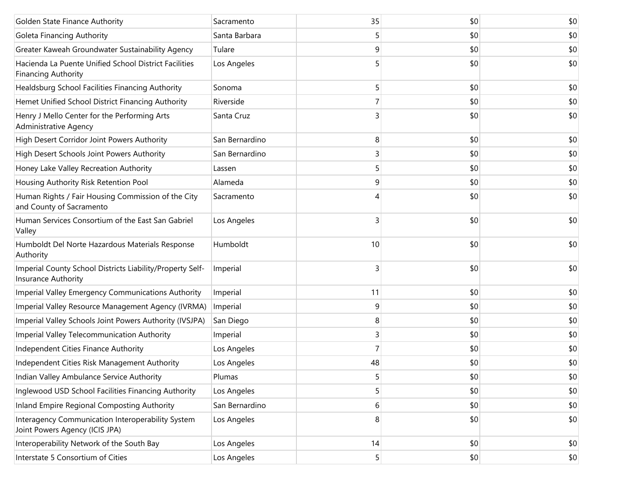| Golden State Finance Authority                                                      | Sacramento     | 35 | \$0 | \$0 |
|-------------------------------------------------------------------------------------|----------------|----|-----|-----|
| Goleta Financing Authority                                                          | Santa Barbara  | 5  | \$0 | \$0 |
| Greater Kaweah Groundwater Sustainability Agency                                    | Tulare         | 9  | \$0 | \$0 |
| Hacienda La Puente Unified School District Facilities<br><b>Financing Authority</b> | Los Angeles    | 5  | \$0 | \$0 |
| Healdsburg School Facilities Financing Authority                                    | Sonoma         | 5  | \$0 | \$0 |
| Hemet Unified School District Financing Authority                                   | Riverside      |    | \$0 | \$0 |
| Henry J Mello Center for the Performing Arts<br><b>Administrative Agency</b>        | Santa Cruz     | 3  | \$0 | \$0 |
| High Desert Corridor Joint Powers Authority                                         | San Bernardino | 8  | \$0 | \$0 |
| High Desert Schools Joint Powers Authority                                          | San Bernardino | 3  | \$0 | \$0 |
| Honey Lake Valley Recreation Authority                                              | Lassen         | 5  | \$0 | \$0 |
| Housing Authority Risk Retention Pool                                               | Alameda        | 9  | \$0 | \$0 |
| Human Rights / Fair Housing Commission of the City<br>and County of Sacramento      | Sacramento     |    | \$0 | \$0 |
| Human Services Consortium of the East San Gabriel<br>Valley                         | Los Angeles    | 3  | \$0 | \$0 |
| Humboldt Del Norte Hazardous Materials Response<br>Authority                        | Humboldt       | 10 | \$0 | \$0 |
| Imperial County School Districts Liability/Property Self-<br>Insurance Authority    | Imperial       | 3  | \$0 | \$0 |
| Imperial Valley Emergency Communications Authority                                  | Imperial       | 11 | \$0 | \$0 |
| Imperial Valley Resource Management Agency (IVRMA)                                  | Imperial       | 9  | \$0 | \$0 |
| Imperial Valley Schools Joint Powers Authority (IVSJPA)                             | San Diego      | 8  | \$0 | \$0 |
| Imperial Valley Telecommunication Authority                                         | Imperial       | 3  | \$0 | \$0 |
| Independent Cities Finance Authority                                                | Los Angeles    |    | \$0 | \$0 |
| Independent Cities Risk Management Authority                                        | Los Angeles    | 48 | \$0 | \$0 |
| Indian Valley Ambulance Service Authority                                           | Plumas         | 5  | \$0 | \$0 |
| Inglewood USD School Facilities Financing Authority                                 | Los Angeles    | 5  | \$0 | \$0 |
| Inland Empire Regional Composting Authority                                         | San Bernardino | 6  | \$0 | \$0 |
| Interagency Communication Interoperability System<br>Joint Powers Agency (ICIS JPA) | Los Angeles    | 8  | \$0 | \$0 |
| Interoperability Network of the South Bay                                           | Los Angeles    | 14 | \$0 | \$0 |
| Interstate 5 Consortium of Cities                                                   | Los Angeles    | 5  | \$0 | \$0 |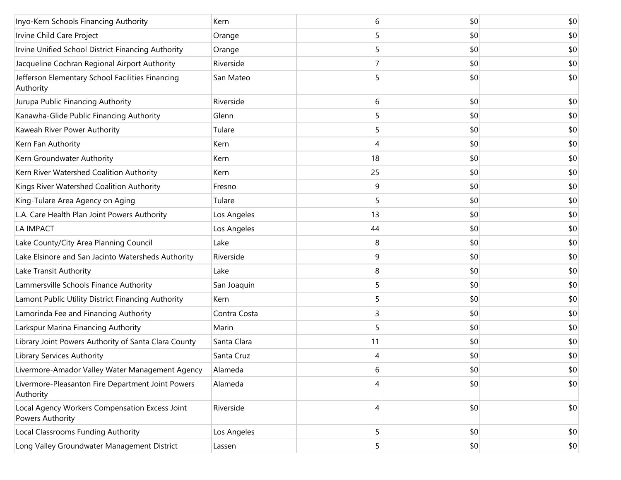| Inyo-Kern Schools Financing Authority                              | Kern         | 6  | \$0 | \$0 |
|--------------------------------------------------------------------|--------------|----|-----|-----|
| Irvine Child Care Project                                          | Orange       | 5  | \$0 | \$0 |
| Irvine Unified School District Financing Authority                 | Orange       | 5  | \$0 | \$0 |
| Jacqueline Cochran Regional Airport Authority                      | Riverside    |    | \$0 | \$0 |
| Jefferson Elementary School Facilities Financing<br>Authority      | San Mateo    |    | \$0 | \$0 |
| Jurupa Public Financing Authority                                  | Riverside    | 6  | \$0 | \$0 |
| Kanawha-Glide Public Financing Authority                           | Glenn        | 5  | \$0 | \$0 |
| Kaweah River Power Authority                                       | Tulare       | 5  | \$0 | \$0 |
| Kern Fan Authority                                                 | Kern         | 4  | \$0 | \$0 |
| Kern Groundwater Authority                                         | Kern         | 18 | \$0 | \$0 |
| Kern River Watershed Coalition Authority                           | Kern         | 25 | \$0 | \$0 |
| Kings River Watershed Coalition Authority                          | Fresno       | 9  | \$0 | \$0 |
| King-Tulare Area Agency on Aging                                   | Tulare       | 5  | \$0 | \$0 |
| L.A. Care Health Plan Joint Powers Authority                       | Los Angeles  | 13 | \$0 | \$0 |
| LA IMPACT                                                          | Los Angeles  | 44 | \$0 | \$0 |
| Lake County/City Area Planning Council                             | Lake         | 8  | \$0 | \$0 |
| Lake Elsinore and San Jacinto Watersheds Authority                 | Riverside    | 9  | \$0 | \$0 |
| Lake Transit Authority                                             | Lake         | 8  | \$0 | \$0 |
| Lammersville Schools Finance Authority                             | San Joaquin  | 5  | \$0 | \$0 |
| Lamont Public Utility District Financing Authority                 | Kern         | 5  | \$0 | \$0 |
| Lamorinda Fee and Financing Authority                              | Contra Costa | 3  | \$0 | \$0 |
| Larkspur Marina Financing Authority                                | Marin        | 5  | \$0 | \$0 |
| Library Joint Powers Authority of Santa Clara County               | Santa Clara  | 11 | \$0 | \$0 |
| <b>Library Services Authority</b>                                  | Santa Cruz   | 4  | \$0 | \$0 |
| Livermore-Amador Valley Water Management Agency                    | Alameda      | 6  | \$0 | \$0 |
| Livermore-Pleasanton Fire Department Joint Powers<br>Authority     | Alameda      | 4  | \$0 | \$0 |
| Local Agency Workers Compensation Excess Joint<br>Powers Authority | Riverside    | 4  | \$0 | \$0 |
| Local Classrooms Funding Authority                                 | Los Angeles  | 5  | \$0 | \$0 |
| Long Valley Groundwater Management District                        | Lassen       | 5  | \$0 | \$0 |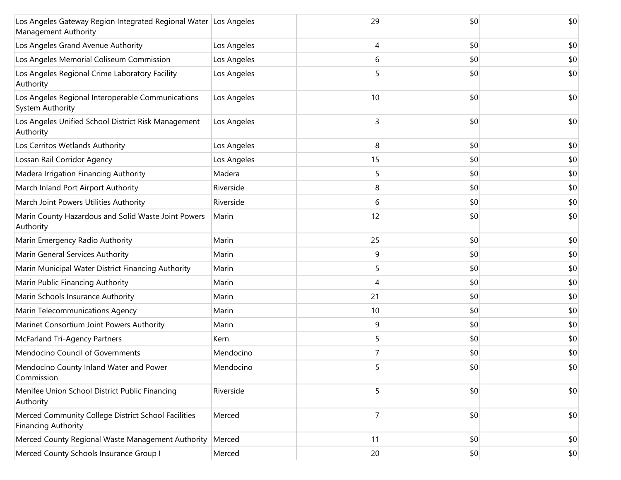| Los Angeles Gateway Region Integrated Regional Water Los Angeles<br>Management Authority |             | 29 | \$0 | \$0 |
|------------------------------------------------------------------------------------------|-------------|----|-----|-----|
| Los Angeles Grand Avenue Authority                                                       | Los Angeles | 4  | \$0 | \$0 |
| Los Angeles Memorial Coliseum Commission                                                 | Los Angeles | 6  | \$0 | \$0 |
| Los Angeles Regional Crime Laboratory Facility<br>Authority                              | Los Angeles | 5  | \$0 | \$0 |
| Los Angeles Regional Interoperable Communications<br><b>System Authority</b>             | Los Angeles | 10 | \$0 | \$0 |
| Los Angeles Unified School District Risk Management<br>Authority                         | Los Angeles | 3  | \$0 | \$0 |
| Los Cerritos Wetlands Authority                                                          | Los Angeles | 8  | \$0 | \$0 |
| Lossan Rail Corridor Agency                                                              | Los Angeles | 15 | \$0 | \$0 |
| Madera Irrigation Financing Authority                                                    | Madera      | 5  | \$0 | \$0 |
| March Inland Port Airport Authority                                                      | Riverside   | 8  | \$0 | \$0 |
| March Joint Powers Utilities Authority                                                   | Riverside   | 6  | \$0 | \$0 |
| Marin County Hazardous and Solid Waste Joint Powers<br>Authority                         | Marin       | 12 | \$0 | \$0 |
| Marin Emergency Radio Authority                                                          | Marin       | 25 | \$0 | \$0 |
| Marin General Services Authority                                                         | Marin       | 9  | \$0 | \$0 |
| Marin Municipal Water District Financing Authority                                       | Marin       | 5  | \$0 | \$0 |
| Marin Public Financing Authority                                                         | Marin       | 4  | \$0 | \$0 |
| Marin Schools Insurance Authority                                                        | Marin       | 21 | \$0 | \$0 |
| Marin Telecommunications Agency                                                          | Marin       | 10 | \$0 | \$0 |
| Marinet Consortium Joint Powers Authority                                                | Marin       | 9  | \$0 | \$0 |
| <b>McFarland Tri-Agency Partners</b>                                                     | Kern        | 5  | \$0 | \$0 |
| Mendocino Council of Governments                                                         | Mendocino   | 7  | \$0 | \$0 |
| Mendocino County Inland Water and Power<br>Commission                                    | Mendocino   | 5  | \$0 | \$0 |
| Menifee Union School District Public Financing<br>Authority                              | Riverside   | 5  | \$0 | \$0 |
| Merced Community College District School Facilities<br><b>Financing Authority</b>        | Merced      | 7  | \$0 | \$0 |
| Merced County Regional Waste Management Authority                                        | Merced      | 11 | \$0 | \$0 |
| Merced County Schools Insurance Group I                                                  | Merced      | 20 | \$0 | \$0 |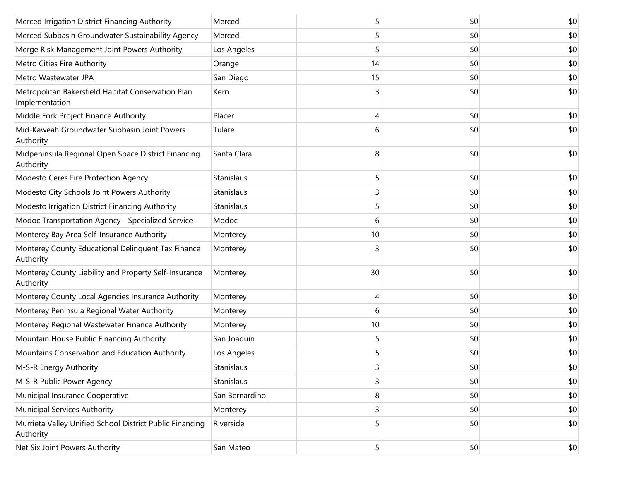| Merced Irrigation District Financing Authority                        | Merced         | 5  | \$0 | \$0 |
|-----------------------------------------------------------------------|----------------|----|-----|-----|
| Merced Subbasin Groundwater Sustainability Agency                     | Merced         | 5  | \$0 | \$0 |
| Merge Risk Management Joint Powers Authority                          | Los Angeles    | 5  | \$0 | \$0 |
| Metro Cities Fire Authority                                           | Orange         | 14 | \$0 | \$0 |
| Metro Wastewater JPA                                                  | San Diego      | 15 | \$0 | \$0 |
| Metropolitan Bakersfield Habitat Conservation Plan<br>Implementation  | Kern           | 3  | \$0 | \$0 |
| Middle Fork Project Finance Authority                                 | Placer         | 4  | \$0 | \$0 |
| Mid-Kaweah Groundwater Subbasin Joint Powers<br>Authority             | Tulare         | 6  | \$0 | \$0 |
| Midpeninsula Regional Open Space District Financing<br>Authority      | Santa Clara    | 8  | \$0 | \$0 |
| Modesto Ceres Fire Protection Agency                                  | Stanislaus     | 5  | \$0 | \$0 |
| Modesto City Schools Joint Powers Authority                           | Stanislaus     | 3  | \$0 | \$0 |
| Modesto Irrigation District Financing Authority                       | Stanislaus     | 5  | \$0 | \$0 |
| Modoc Transportation Agency - Specialized Service                     | Modoc          | 6  | \$0 | \$0 |
| Monterey Bay Area Self-Insurance Authority                            | Monterey       | 10 | \$0 | \$0 |
| Monterey County Educational Delinquent Tax Finance<br>Authority       | Monterey       | 3  | \$0 | \$0 |
| Monterey County Liability and Property Self-Insurance<br>Authority    | Monterey       | 30 | \$0 | \$0 |
| Monterey County Local Agencies Insurance Authority                    | Monterey       | 4  | \$0 | \$0 |
| Monterey Peninsula Regional Water Authority                           | Monterey       | 6  | \$0 | \$0 |
| Monterey Regional Wastewater Finance Authority                        | Monterey       | 10 | \$0 | \$0 |
| Mountain House Public Financing Authority                             | San Joaquin    | 5  | \$0 | \$0 |
| Mountains Conservation and Education Authority                        | Los Angeles    | 5  | \$0 | \$0 |
| M-S-R Energy Authority                                                | Stanislaus     | 3  | \$0 | \$0 |
| M-S-R Public Power Agency                                             | Stanislaus     | 3  | \$0 | \$0 |
| Municipal Insurance Cooperative                                       | San Bernardino | 8  | \$0 | \$0 |
| <b>Municipal Services Authority</b>                                   | Monterey       | 3  | \$0 | \$0 |
| Murrieta Valley Unified School District Public Financing<br>Authority | Riverside      | 5  | \$0 | \$0 |
| Net Six Joint Powers Authority                                        | San Mateo      | 5  | \$0 | \$0 |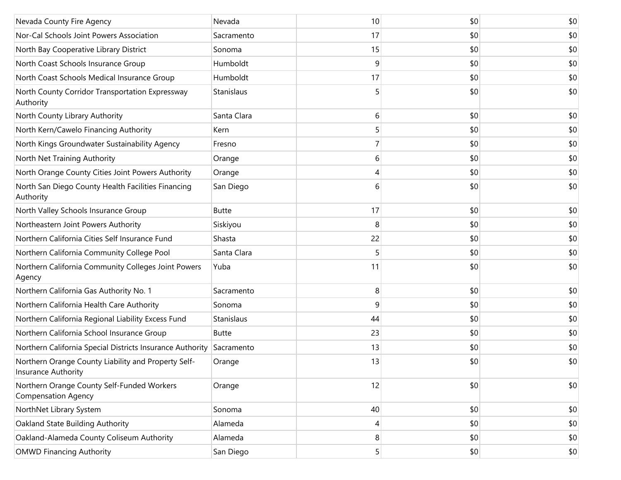| Nevada County Fire Agency                                                  | Nevada       | 10 | \$0 | \$0 |
|----------------------------------------------------------------------------|--------------|----|-----|-----|
| Nor-Cal Schools Joint Powers Association                                   | Sacramento   | 17 | \$0 | \$0 |
| North Bay Cooperative Library District                                     | Sonoma       | 15 | \$0 | \$0 |
| North Coast Schools Insurance Group                                        | Humboldt     | 9  | \$0 | \$0 |
| North Coast Schools Medical Insurance Group                                | Humboldt     | 17 | \$0 | \$0 |
| North County Corridor Transportation Expressway<br>Authority               | Stanislaus   | 5  | \$0 | \$0 |
| North County Library Authority                                             | Santa Clara  | 6  | \$0 | \$0 |
| North Kern/Cawelo Financing Authority                                      | Kern         | 5  | \$0 | \$0 |
| North Kings Groundwater Sustainability Agency                              | Fresno       | 7  | \$0 | \$0 |
| North Net Training Authority                                               | Orange       | 6  | \$0 | \$0 |
| North Orange County Cities Joint Powers Authority                          | Orange       | 4  | \$0 | \$0 |
| North San Diego County Health Facilities Financing<br>Authority            | San Diego    | 6  | \$0 | \$0 |
| North Valley Schools Insurance Group                                       | <b>Butte</b> | 17 | \$0 | \$0 |
| Northeastern Joint Powers Authority                                        | Siskiyou     | 8  | \$0 | \$0 |
| Northern California Cities Self Insurance Fund                             | Shasta       | 22 | \$0 | \$0 |
| Northern California Community College Pool                                 | Santa Clara  | 5  | \$0 | \$0 |
| Northern California Community Colleges Joint Powers<br>Agency              | Yuba         | 11 | \$0 | \$0 |
| Northern California Gas Authority No. 1                                    | Sacramento   | 8  | \$0 | \$0 |
| Northern California Health Care Authority                                  | Sonoma       | 9  | \$0 | \$0 |
| Northern California Regional Liability Excess Fund                         | Stanislaus   | 44 | \$0 | \$0 |
| Northern California School Insurance Group                                 | Butte        | 23 | \$0 | \$0 |
| Northern California Special Districts Insurance Authority                  | Sacramento   | 13 | \$0 | \$0 |
| Northern Orange County Liability and Property Self-<br>Insurance Authority | Orange       | 13 | \$0 | \$0 |
| Northern Orange County Self-Funded Workers<br><b>Compensation Agency</b>   | Orange       | 12 | \$0 | \$0 |
| NorthNet Library System                                                    | Sonoma       | 40 | \$0 | \$0 |
| Oakland State Building Authority                                           | Alameda      | 4  | \$0 | \$0 |
| Oakland-Alameda County Coliseum Authority                                  | Alameda      | 8  | \$0 | \$0 |
| <b>OMWD Financing Authority</b>                                            | San Diego    | 5  | \$0 | \$0 |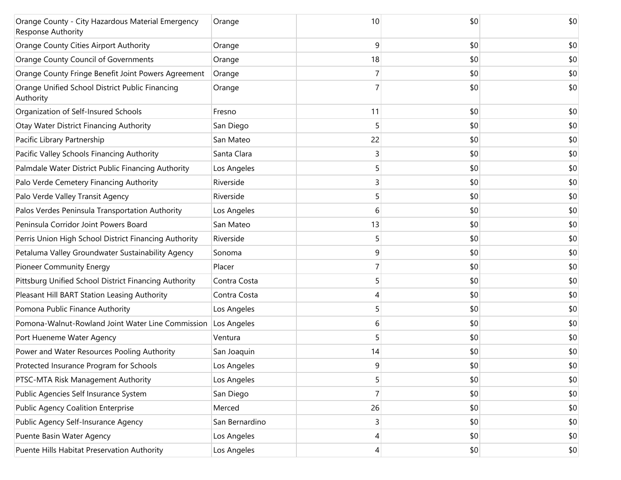| Orange County - City Hazardous Material Emergency<br>Response Authority | Orange         | 10 | \$0 | \$0 |
|-------------------------------------------------------------------------|----------------|----|-----|-----|
| Orange County Cities Airport Authority                                  | Orange         | 9  | \$0 | \$0 |
| Orange County Council of Governments                                    | Orange         | 18 | \$0 | \$0 |
| Orange County Fringe Benefit Joint Powers Agreement                     | Orange         |    | \$0 | \$0 |
| Orange Unified School District Public Financing<br>Authority            | Orange         |    | \$0 | \$0 |
| Organization of Self-Insured Schools                                    | Fresno         | 11 | \$0 | \$0 |
| <b>Otay Water District Financing Authority</b>                          | San Diego      | 5  | \$0 | \$0 |
| Pacific Library Partnership                                             | San Mateo      | 22 | \$0 | \$0 |
| Pacific Valley Schools Financing Authority                              | Santa Clara    | 3  | \$0 | \$0 |
| Palmdale Water District Public Financing Authority                      | Los Angeles    | 5  | \$0 | \$0 |
| Palo Verde Cemetery Financing Authority                                 | Riverside      | 3  | \$0 | \$0 |
| Palo Verde Valley Transit Agency                                        | Riverside      | 5  | \$0 | \$0 |
| Palos Verdes Peninsula Transportation Authority                         | Los Angeles    | 6  | \$0 | \$0 |
| Peninsula Corridor Joint Powers Board                                   | San Mateo      | 13 | \$0 | \$0 |
| Perris Union High School District Financing Authority                   | Riverside      | 5  | \$0 | \$0 |
| Petaluma Valley Groundwater Sustainability Agency                       | Sonoma         | 9  | \$0 | \$0 |
| <b>Pioneer Community Energy</b>                                         | Placer         |    | \$0 | \$0 |
| Pittsburg Unified School District Financing Authority                   | Contra Costa   | 5  | \$0 | \$0 |
| Pleasant Hill BART Station Leasing Authority                            | Contra Costa   |    | \$0 | \$0 |
| Pomona Public Finance Authority                                         | Los Angeles    | 5  | \$0 | \$0 |
| Pomona-Walnut-Rowland Joint Water Line Commission                       | Los Angeles    | 6  | \$0 | \$0 |
| Port Hueneme Water Agency                                               | Ventura        |    | \$0 | \$0 |
| Power and Water Resources Pooling Authority                             | San Joaquin    | 14 | \$0 | \$0 |
| Protected Insurance Program for Schools                                 | Los Angeles    | 9  | \$0 | \$0 |
| PTSC-MTA Risk Management Authority                                      | Los Angeles    | 5  | \$0 | \$0 |
| Public Agencies Self Insurance System                                   | San Diego      | 7  | \$0 | \$0 |
| <b>Public Agency Coalition Enterprise</b>                               | Merced         | 26 | \$0 | \$0 |
| Public Agency Self-Insurance Agency                                     | San Bernardino | 3  | \$0 | \$0 |
| Puente Basin Water Agency                                               | Los Angeles    | 4  | \$0 | \$0 |
| Puente Hills Habitat Preservation Authority                             | Los Angeles    | 4  | \$0 | \$0 |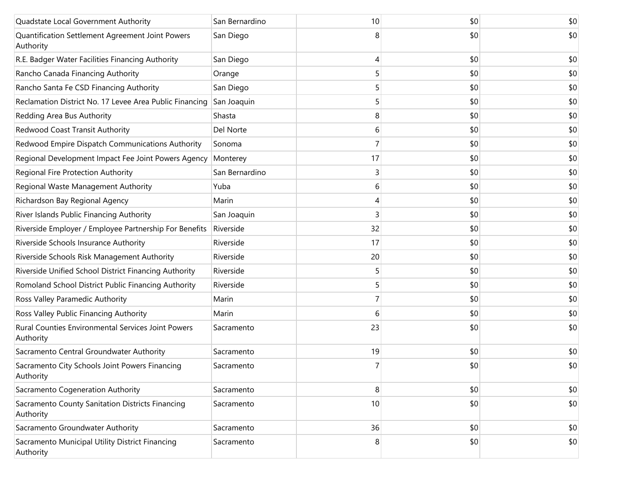| Quadstate Local Government Authority                            | San Bernardino | 10 | \$0 | \$0 |
|-----------------------------------------------------------------|----------------|----|-----|-----|
| Quantification Settlement Agreement Joint Powers<br>Authority   | San Diego      | 8  | \$0 | \$0 |
| R.E. Badger Water Facilities Financing Authority                | San Diego      | 4  | \$0 | \$0 |
| Rancho Canada Financing Authority                               | Orange         | 5  | \$0 | \$0 |
| Rancho Santa Fe CSD Financing Authority                         | San Diego      | 5  | \$0 | \$0 |
| Reclamation District No. 17 Levee Area Public Financing         | San Joaquin    | 5  | \$0 | \$0 |
| Redding Area Bus Authority                                      | Shasta         | 8  | \$0 | \$0 |
| Redwood Coast Transit Authority                                 | Del Norte      | 6  | \$0 | \$0 |
| Redwood Empire Dispatch Communications Authority                | Sonoma         | 7  | \$0 | \$0 |
| Regional Development Impact Fee Joint Powers Agency             | Monterey       | 17 | \$0 | \$0 |
| Regional Fire Protection Authority                              | San Bernardino | 3  | \$0 | \$0 |
| Regional Waste Management Authority                             | Yuba           | 6  | \$0 | \$0 |
| Richardson Bay Regional Agency                                  | Marin          | 4  | \$0 | \$0 |
| River Islands Public Financing Authority                        | San Joaquin    | 3  | \$0 | \$0 |
| Riverside Employer / Employee Partnership For Benefits          | Riverside      | 32 | \$0 | \$0 |
| Riverside Schools Insurance Authority                           | Riverside      | 17 | \$0 | \$0 |
| Riverside Schools Risk Management Authority                     | Riverside      | 20 | \$0 | \$0 |
| Riverside Unified School District Financing Authority           | Riverside      | 5  | \$0 | \$0 |
| Romoland School District Public Financing Authority             | Riverside      | 5  | \$0 | \$0 |
| Ross Valley Paramedic Authority                                 | Marin          |    | \$0 | \$0 |
| Ross Valley Public Financing Authority                          | Marin          | 6  | \$0 | \$0 |
| Rural Counties Environmental Services Joint Powers<br>Authority | Sacramento     | 23 | \$0 | \$0 |
| Sacramento Central Groundwater Authority                        | Sacramento     | 19 | \$0 | \$0 |
| Sacramento City Schools Joint Powers Financing<br>Authority     | Sacramento     |    | \$0 | \$0 |
| Sacramento Cogeneration Authority                               | Sacramento     | 8  | \$0 | \$0 |
| Sacramento County Sanitation Districts Financing<br>Authority   | Sacramento     | 10 | \$0 | \$0 |
| Sacramento Groundwater Authority                                | Sacramento     | 36 | \$0 | \$0 |
| Sacramento Municipal Utility District Financing<br>Authority    | Sacramento     | 8  | \$0 | \$0 |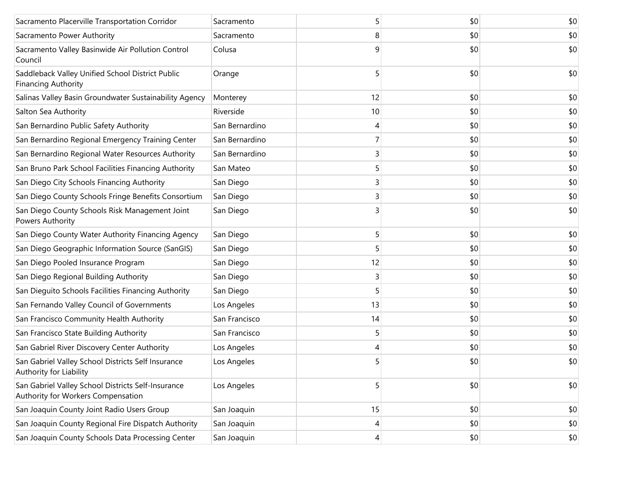| Sacramento Placerville Transportation Corridor                                           | Sacramento     | 5  | \$0 | \$0 |
|------------------------------------------------------------------------------------------|----------------|----|-----|-----|
| Sacramento Power Authority                                                               | Sacramento     | 8  | \$0 | \$0 |
| Sacramento Valley Basinwide Air Pollution Control<br>Council                             | Colusa         | 9  | \$0 | \$0 |
| Saddleback Valley Unified School District Public<br><b>Financing Authority</b>           | Orange         | 5  | \$0 | \$0 |
| Salinas Valley Basin Groundwater Sustainability Agency                                   | Monterey       | 12 | \$0 | \$0 |
| Salton Sea Authority                                                                     | Riverside      | 10 | \$0 | \$0 |
| San Bernardino Public Safety Authority                                                   | San Bernardino | 4  | \$0 | \$0 |
| San Bernardino Regional Emergency Training Center                                        | San Bernardino | 7  | \$0 | \$0 |
| San Bernardino Regional Water Resources Authority                                        | San Bernardino | 3  | \$0 | \$0 |
| San Bruno Park School Facilities Financing Authority                                     | San Mateo      | 5  | \$0 | \$0 |
| San Diego City Schools Financing Authority                                               | San Diego      | 3  | \$0 | \$0 |
| San Diego County Schools Fringe Benefits Consortium                                      | San Diego      | 3  | \$0 | \$0 |
| San Diego County Schools Risk Management Joint<br>Powers Authority                       | San Diego      | 3  | \$0 | \$0 |
| San Diego County Water Authority Financing Agency                                        | San Diego      | 5  | \$0 | \$0 |
| San Diego Geographic Information Source (SanGIS)                                         | San Diego      | 5  | \$0 | \$0 |
| San Diego Pooled Insurance Program                                                       | San Diego      | 12 | \$0 | \$0 |
| San Diego Regional Building Authority                                                    | San Diego      | 3  | \$0 | \$0 |
| San Dieguito Schools Facilities Financing Authority                                      | San Diego      | 5  | \$0 | \$0 |
| San Fernando Valley Council of Governments                                               | Los Angeles    | 13 | \$0 | \$0 |
| San Francisco Community Health Authority                                                 | San Francisco  | 14 | \$0 | \$0 |
| San Francisco State Building Authority                                                   | San Francisco  | 5  | \$0 | \$0 |
| San Gabriel River Discovery Center Authority                                             | Los Angeles    | 4  | \$0 | \$0 |
| San Gabriel Valley School Districts Self Insurance<br>Authority for Liability            | Los Angeles    | 5  | \$0 | \$0 |
| San Gabriel Valley School Districts Self-Insurance<br>Authority for Workers Compensation | Los Angeles    | 5  | \$0 | \$0 |
| San Joaquin County Joint Radio Users Group                                               | San Joaquin    | 15 | \$0 | \$0 |
| San Joaquin County Regional Fire Dispatch Authority                                      | San Joaquin    | 4  | \$0 | \$0 |
| San Joaquin County Schools Data Processing Center                                        | San Joaquin    | 4  | \$0 | \$0 |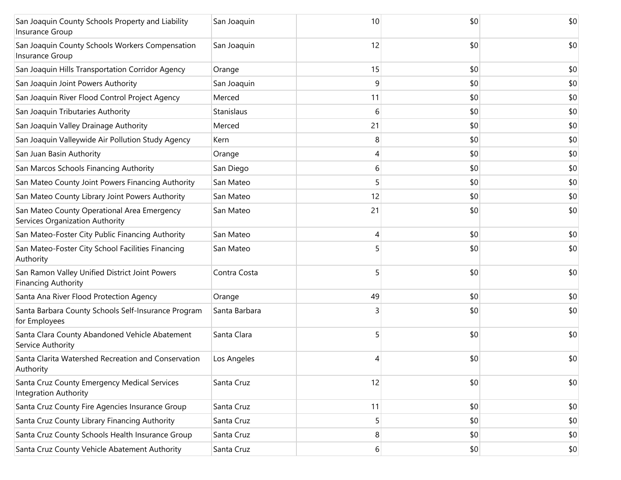| San Joaquin County Schools Property and Liability<br>Insurance Group           | San Joaquin   | 10 | \$0 | \$0 |
|--------------------------------------------------------------------------------|---------------|----|-----|-----|
| San Joaquin County Schools Workers Compensation<br>Insurance Group             | San Joaquin   | 12 | \$0 | \$0 |
| San Joaquin Hills Transportation Corridor Agency                               | Orange        | 15 | \$0 | \$0 |
| San Joaquin Joint Powers Authority                                             | San Joaquin   | 9  | \$0 | \$0 |
| San Joaquin River Flood Control Project Agency                                 | Merced        | 11 | \$0 | \$0 |
| San Joaquin Tributaries Authority                                              | Stanislaus    | 6  | \$0 | \$0 |
| San Joaquin Valley Drainage Authority                                          | Merced        | 21 | \$0 | \$0 |
| San Joaquin Valleywide Air Pollution Study Agency                              | Kern          | 8  | \$0 | \$0 |
| San Juan Basin Authority                                                       | Orange        | 4  | \$0 | \$0 |
| San Marcos Schools Financing Authority                                         | San Diego     | 6  | \$0 | \$0 |
| San Mateo County Joint Powers Financing Authority                              | San Mateo     | 5  | \$0 | \$0 |
| San Mateo County Library Joint Powers Authority                                | San Mateo     | 12 | \$0 | \$0 |
| San Mateo County Operational Area Emergency<br>Services Organization Authority | San Mateo     | 21 | \$0 | \$0 |
| San Mateo-Foster City Public Financing Authority                               | San Mateo     | 4  | \$0 | \$0 |
| San Mateo-Foster City School Facilities Financing<br>Authority                 | San Mateo     | 5  | \$0 | \$0 |
| San Ramon Valley Unified District Joint Powers<br><b>Financing Authority</b>   | Contra Costa  | 5  | \$0 | \$0 |
| Santa Ana River Flood Protection Agency                                        | Orange        | 49 | \$0 | \$0 |
| Santa Barbara County Schools Self-Insurance Program<br>for Employees           | Santa Barbara | 3  | \$0 | \$0 |
| Santa Clara County Abandoned Vehicle Abatement<br>Service Authority            | Santa Clara   | 5  | \$0 | \$0 |
| Santa Clarita Watershed Recreation and Conservation<br>Authority               | Los Angeles   | 4  | \$0 | \$0 |
| Santa Cruz County Emergency Medical Services<br><b>Integration Authority</b>   | Santa Cruz    | 12 | \$0 | \$0 |
| Santa Cruz County Fire Agencies Insurance Group                                | Santa Cruz    | 11 | \$0 | \$0 |
| Santa Cruz County Library Financing Authority                                  | Santa Cruz    | 5  | \$0 | \$0 |
| Santa Cruz County Schools Health Insurance Group                               | Santa Cruz    | 8  | \$0 | \$0 |
| Santa Cruz County Vehicle Abatement Authority                                  | Santa Cruz    | 6  | \$0 | \$0 |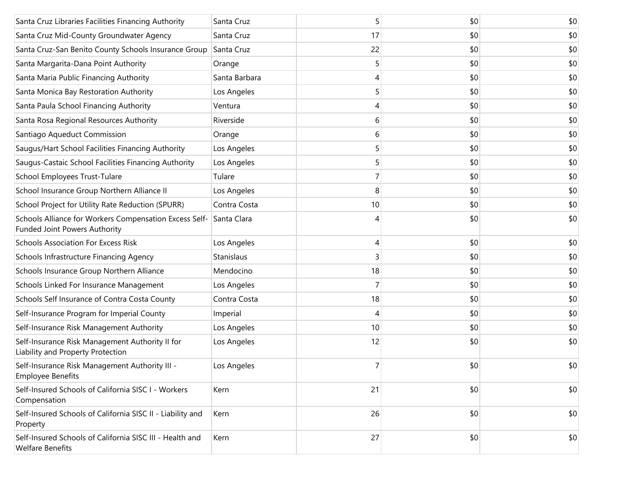| Santa Cruz Libraries Facilities Financing Authority                                     | Santa Cruz    | 5  | \$0 | \$0 |
|-----------------------------------------------------------------------------------------|---------------|----|-----|-----|
| Santa Cruz Mid-County Groundwater Agency                                                | Santa Cruz    | 17 | \$0 | \$0 |
| Santa Cruz-San Benito County Schools Insurance Group                                    | Santa Cruz    | 22 | \$0 | \$0 |
| Santa Margarita-Dana Point Authority                                                    | Orange        | 5  | \$0 | \$0 |
| Santa Maria Public Financing Authority                                                  | Santa Barbara | 4  | \$0 | \$0 |
| Santa Monica Bay Restoration Authority                                                  | Los Angeles   | 5  | \$0 | \$0 |
| Santa Paula School Financing Authority                                                  | Ventura       | 4  | \$0 | \$0 |
| Santa Rosa Regional Resources Authority                                                 | Riverside     | 6  | \$0 | \$0 |
| Santiago Aqueduct Commission                                                            | Orange        | 6  | \$0 | \$0 |
| Saugus/Hart School Facilities Financing Authority                                       | Los Angeles   | 5  | \$0 | \$0 |
| Saugus-Castaic School Facilities Financing Authority                                    | Los Angeles   | 5  | \$0 | \$0 |
| School Employees Trust-Tulare                                                           | Tulare        | 7  | \$0 | \$0 |
| School Insurance Group Northern Alliance II                                             | Los Angeles   | 8  | \$0 | \$0 |
| School Project for Utility Rate Reduction (SPURR)                                       | Contra Costa  | 10 | \$0 | \$0 |
| Schools Alliance for Workers Compensation Excess Self-<br>Funded Joint Powers Authority | Santa Clara   |    | \$0 | \$0 |
| <b>Schools Association For Excess Risk</b>                                              | Los Angeles   | 4  | \$0 | \$0 |
| Schools Infrastructure Financing Agency                                                 | Stanislaus    | 3  | \$0 | \$0 |
| Schools Insurance Group Northern Alliance                                               | Mendocino     | 18 | \$0 | \$0 |
| Schools Linked For Insurance Management                                                 | Los Angeles   | 7  | \$0 | \$0 |
| Schools Self Insurance of Contra Costa County                                           | Contra Costa  | 18 | \$0 | \$0 |
| Self-Insurance Program for Imperial County                                              | Imperial      | 4  | \$0 | \$0 |
| Self-Insurance Risk Management Authority                                                | Los Angeles   | 10 | \$0 | \$0 |
| Self-Insurance Risk Management Authority II for<br>Liability and Property Protection    | Los Angeles   | 12 | \$0 | \$0 |
| Self-Insurance Risk Management Authority III -<br><b>Employee Benefits</b>              | Los Angeles   | 7  | \$0 | \$0 |
| Self-Insured Schools of California SISC I - Workers<br>Compensation                     | Kern          | 21 | \$0 | \$0 |
| Self-Insured Schools of California SISC II - Liability and<br>Property                  | Kern          | 26 | \$0 | \$0 |
| Self-Insured Schools of California SISC III - Health and<br><b>Welfare Benefits</b>     | Kern          | 27 | \$0 | \$0 |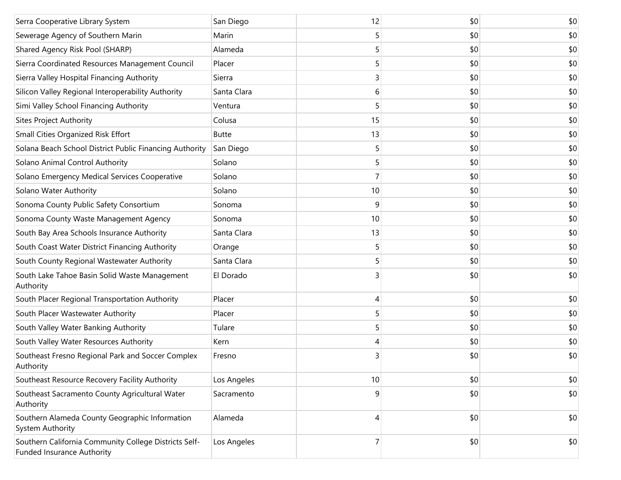| Serra Cooperative Library System                                                           | San Diego    | 12 | \$0 | \$0 |
|--------------------------------------------------------------------------------------------|--------------|----|-----|-----|
| Sewerage Agency of Southern Marin                                                          | Marin        | 5  | \$0 | \$0 |
| Shared Agency Risk Pool (SHARP)                                                            | Alameda      | 5  | \$0 | \$0 |
| Sierra Coordinated Resources Management Council                                            | Placer       | 5  | \$0 | \$0 |
| Sierra Valley Hospital Financing Authority                                                 | Sierra       | 3  | \$0 | \$0 |
| Silicon Valley Regional Interoperability Authority                                         | Santa Clara  | 6  | \$0 | \$0 |
| Simi Valley School Financing Authority                                                     | Ventura      | 5  | \$0 | \$0 |
| <b>Sites Project Authority</b>                                                             | Colusa       | 15 | \$0 | \$0 |
| Small Cities Organized Risk Effort                                                         | <b>Butte</b> | 13 | \$0 | \$0 |
| Solana Beach School District Public Financing Authority                                    | San Diego    | 5  | \$0 | \$0 |
| Solano Animal Control Authority                                                            | Solano       | 5  | \$0 | \$0 |
| Solano Emergency Medical Services Cooperative                                              | Solano       |    | \$0 | \$0 |
| Solano Water Authority                                                                     | Solano       | 10 | \$0 | \$0 |
| Sonoma County Public Safety Consortium                                                     | Sonoma       | 9  | \$0 | \$0 |
| Sonoma County Waste Management Agency                                                      | Sonoma       | 10 | \$0 | \$0 |
| South Bay Area Schools Insurance Authority                                                 | Santa Clara  | 13 | \$0 | \$0 |
| South Coast Water District Financing Authority                                             | Orange       | 5  | \$0 | \$0 |
| South County Regional Wastewater Authority                                                 | Santa Clara  | 5  | \$0 | \$0 |
| South Lake Tahoe Basin Solid Waste Management<br>Authority                                 | El Dorado    | 3  | \$0 | \$0 |
| South Placer Regional Transportation Authority                                             | Placer       | 4  | \$0 | \$0 |
| South Placer Wastewater Authority                                                          | Placer       | 5  | \$0 | \$0 |
| South Valley Water Banking Authority                                                       | Tulare       | 5  | \$0 | \$0 |
| South Valley Water Resources Authority                                                     | Kern         |    | \$0 | \$0 |
| Southeast Fresno Regional Park and Soccer Complex<br>Authority                             | Fresno       | 3  | \$0 | \$0 |
| Southeast Resource Recovery Facility Authority                                             | Los Angeles  | 10 | \$0 | \$0 |
| Southeast Sacramento County Agricultural Water<br>Authority                                | Sacramento   | 9  | \$0 | \$0 |
| Southern Alameda County Geographic Information<br>System Authority                         | Alameda      | 4  | \$0 | \$0 |
| Southern California Community College Districts Self-<br><b>Funded Insurance Authority</b> | Los Angeles  | 7  | \$0 | \$0 |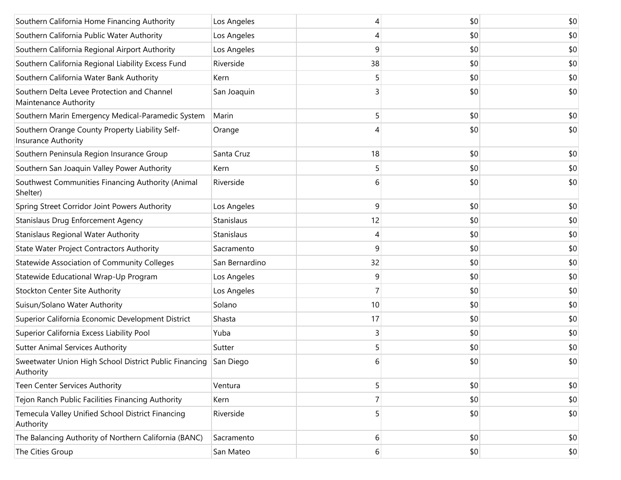| Southern California Home Financing Authority                                  | Los Angeles    |    | \$0 | \$0 |
|-------------------------------------------------------------------------------|----------------|----|-----|-----|
| Southern California Public Water Authority                                    | Los Angeles    | 4  | \$0 | \$0 |
| Southern California Regional Airport Authority                                | Los Angeles    | 9  | \$0 | \$0 |
| Southern California Regional Liability Excess Fund                            | Riverside      | 38 | \$0 | \$0 |
| Southern California Water Bank Authority                                      | Kern           | 5  | \$0 | \$0 |
| Southern Delta Levee Protection and Channel<br>Maintenance Authority          | San Joaquin    | 3  | \$0 | \$0 |
| Southern Marin Emergency Medical-Paramedic System                             | Marin          | 5  | \$0 | \$0 |
| Southern Orange County Property Liability Self-<br>Insurance Authority        | Orange         |    | \$0 | \$0 |
| Southern Peninsula Region Insurance Group                                     | Santa Cruz     | 18 | \$0 | \$0 |
| Southern San Joaquin Valley Power Authority                                   | Kern           | 5  | \$0 | \$0 |
| Southwest Communities Financing Authority (Animal<br>Shelter)                 | Riverside      | 6  | \$0 | \$0 |
| Spring Street Corridor Joint Powers Authority                                 | Los Angeles    | 9  | \$0 | \$0 |
| Stanislaus Drug Enforcement Agency                                            | Stanislaus     | 12 | \$0 | \$0 |
| Stanislaus Regional Water Authority                                           | Stanislaus     | 4  | \$0 | \$0 |
| <b>State Water Project Contractors Authority</b>                              | Sacramento     | 9  | \$0 | \$0 |
| Statewide Association of Community Colleges                                   | San Bernardino | 32 | \$0 | \$0 |
| Statewide Educational Wrap-Up Program                                         | Los Angeles    | 9  | \$0 | \$0 |
| Stockton Center Site Authority                                                | Los Angeles    | 7  | \$0 | \$0 |
| Suisun/Solano Water Authority                                                 | Solano         | 10 | \$0 | \$0 |
| Superior California Economic Development District                             | Shasta         | 17 | \$0 | \$0 |
| Superior California Excess Liability Pool                                     | Yuba           | 3  | \$0 | \$0 |
| <b>Sutter Animal Services Authority</b>                                       | Sutter         | 5  | \$0 | \$0 |
| Sweetwater Union High School District Public Financing San Diego<br>Authority |                | 6  | \$0 | \$0 |
| Teen Center Services Authority                                                | Ventura        | 5  | \$0 | \$0 |
| Tejon Ranch Public Facilities Financing Authority                             | Kern           | 7  | \$0 | \$0 |
| Temecula Valley Unified School District Financing<br>Authority                | Riverside      | 5  | \$0 | \$0 |
| The Balancing Authority of Northern California (BANC)                         | Sacramento     | 6  | \$0 | \$0 |
| The Cities Group                                                              | San Mateo      | 6  | \$0 | \$0 |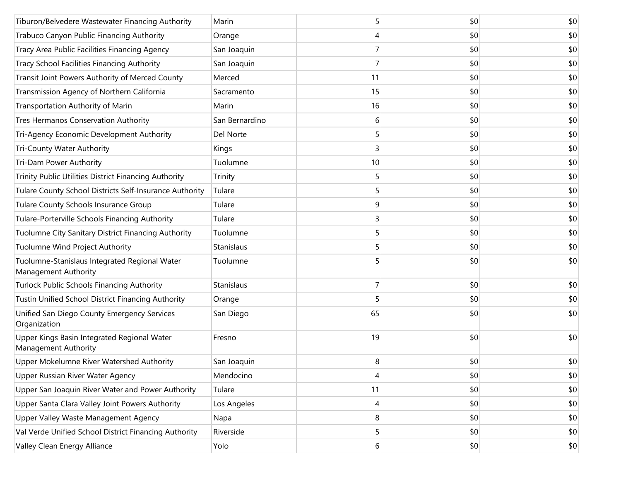| Tiburon/Belvedere Wastewater Financing Authority                      | Marin          | 5  | \$0 | \$0 |
|-----------------------------------------------------------------------|----------------|----|-----|-----|
| Trabuco Canyon Public Financing Authority                             | Orange         | 4  | \$0 | \$0 |
| Tracy Area Public Facilities Financing Agency                         | San Joaquin    |    | \$0 | \$0 |
| Tracy School Facilities Financing Authority                           | San Joaquin    | 7  | \$0 | \$0 |
| Transit Joint Powers Authority of Merced County                       | Merced         | 11 | \$0 | \$0 |
| Transmission Agency of Northern California                            | Sacramento     | 15 | \$0 | \$0 |
| Transportation Authority of Marin                                     | Marin          | 16 | \$0 | \$0 |
| Tres Hermanos Conservation Authority                                  | San Bernardino | 6  | \$0 | \$0 |
| Tri-Agency Economic Development Authority                             | Del Norte      | 5  | \$0 | \$0 |
| <b>Tri-County Water Authority</b>                                     | Kings          | 3  | \$0 | \$0 |
| Tri-Dam Power Authority                                               | Tuolumne       | 10 | \$0 | \$0 |
| Trinity Public Utilities District Financing Authority                 | Trinity        | 5  | \$0 | \$0 |
| Tulare County School Districts Self-Insurance Authority               | Tulare         | 5  | \$0 | \$0 |
| Tulare County Schools Insurance Group                                 | Tulare         | 9  | \$0 | \$0 |
| Tulare-Porterville Schools Financing Authority                        | Tulare         | 3  | \$0 | \$0 |
| Tuolumne City Sanitary District Financing Authority                   | Tuolumne       | 5  | \$0 | \$0 |
| Tuolumne Wind Project Authority                                       | Stanislaus     | 5  | \$0 | \$0 |
| Tuolumne-Stanislaus Integrated Regional Water<br>Management Authority | Tuolumne       | 5  | \$0 | \$0 |
| <b>Turlock Public Schools Financing Authority</b>                     | Stanislaus     | 7  | \$0 | \$0 |
| Tustin Unified School District Financing Authority                    | Orange         | 5  | \$0 | \$0 |
| Unified San Diego County Emergency Services<br>Organization           | San Diego      | 65 | \$0 | \$0 |
| Upper Kings Basin Integrated Regional Water<br>Management Authority   | Fresno         | 19 | \$0 | \$0 |
| Upper Mokelumne River Watershed Authority                             | San Joaquin    | 8  | \$0 | \$0 |
| Upper Russian River Water Agency                                      | Mendocino      | 4  | \$0 | \$0 |
| Upper San Joaquin River Water and Power Authority                     | Tulare         | 11 | \$0 | \$0 |
| Upper Santa Clara Valley Joint Powers Authority                       | Los Angeles    | 4  | \$0 | \$0 |
| Upper Valley Waste Management Agency                                  | Napa           | 8  | \$0 | \$0 |
| Val Verde Unified School District Financing Authority                 | Riverside      | 5  | \$0 | \$0 |
| Valley Clean Energy Alliance                                          | Yolo           | 6  | \$0 | \$0 |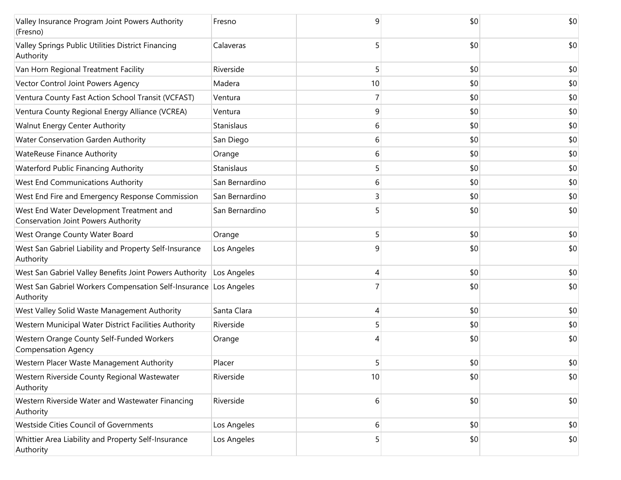| Valley Insurance Program Joint Powers Authority<br>(Fresno)                            | Fresno         | 9  | \$0 | \$0 |
|----------------------------------------------------------------------------------------|----------------|----|-----|-----|
| Valley Springs Public Utilities District Financing<br>Authority                        | Calaveras      | 5  | \$0 | \$0 |
| Van Horn Regional Treatment Facility                                                   | Riverside      |    | \$0 | \$0 |
| Vector Control Joint Powers Agency                                                     | Madera         | 10 | \$0 | \$0 |
| Ventura County Fast Action School Transit (VCFAST)                                     | Ventura        |    | \$0 | \$0 |
| Ventura County Regional Energy Alliance (VCREA)                                        | Ventura        | 9  | \$0 | \$0 |
| Walnut Energy Center Authority                                                         | Stanislaus     | 6  | \$0 | \$0 |
| Water Conservation Garden Authority                                                    | San Diego      | 6  | \$0 | \$0 |
| <b>WateReuse Finance Authority</b>                                                     | Orange         | 6  | \$0 | \$0 |
| <b>Waterford Public Financing Authority</b>                                            | Stanislaus     | 5  | \$0 | \$0 |
| West End Communications Authority                                                      | San Bernardino | 6  | \$0 | \$0 |
| West End Fire and Emergency Response Commission                                        | San Bernardino | 3  | \$0 | \$0 |
| West End Water Development Treatment and<br><b>Conservation Joint Powers Authority</b> | San Bernardino |    | \$0 | \$0 |
| West Orange County Water Board                                                         | Orange         | 5  | \$0 | \$0 |
| West San Gabriel Liability and Property Self-Insurance<br>Authority                    | Los Angeles    | 9  | \$0 | \$0 |
| West San Gabriel Valley Benefits Joint Powers Authority                                | Los Angeles    | 4  | \$0 | \$0 |
| West San Gabriel Workers Compensation Self-Insurance Los Angeles<br>Authority          |                |    | \$0 | \$0 |
| West Valley Solid Waste Management Authority                                           | Santa Clara    | 4  | \$0 | \$0 |
| Western Municipal Water District Facilities Authority                                  | Riverside      | 5  | \$0 | \$0 |
| Western Orange County Self-Funded Workers<br><b>Compensation Agency</b>                | Orange         |    | \$0 | \$0 |
| Western Placer Waste Management Authority                                              | Placer         |    | \$0 | \$0 |
| Western Riverside County Regional Wastewater<br>Authority                              | Riverside      | 10 | \$0 | \$0 |
| Western Riverside Water and Wastewater Financing<br>Authority                          | Riverside      | 6  | \$0 | \$0 |
| Westside Cities Council of Governments                                                 | Los Angeles    | 6  | \$0 | \$0 |
| Whittier Area Liability and Property Self-Insurance<br>Authority                       | Los Angeles    |    | \$0 | \$0 |